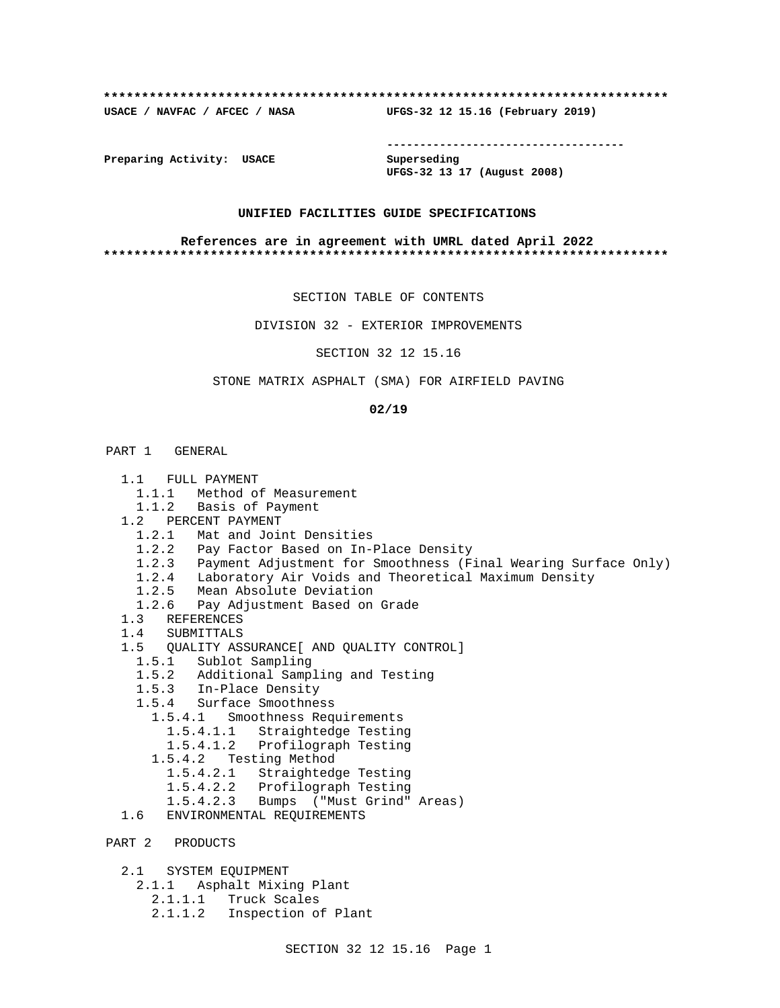# **\*\*\*\*\*\*\*\*\*\*\*\*\*\*\*\*\*\*\*\*\*\*\*\*\*\*\*\*\*\*\*\*\*\*\*\*\*\*\*\*\*\*\*\*\*\*\*\*\*\*\*\*\*\*\*\*\*\*\*\*\*\*\*\*\*\*\*\*\*\*\*\*\*\***

**USACE / NAVFAC / AFCEC / NASA UFGS-32 12 15.16 (February 2019)**

**------------------------------------**

**Preparing Activity: USACE Superseding**

**UFGS-32 13 17 (August 2008)**

# **UNIFIED FACILITIES GUIDE SPECIFICATIONS**

### **References are in agreement with UMRL dated April 2022 \*\*\*\*\*\*\*\*\*\*\*\*\*\*\*\*\*\*\*\*\*\*\*\*\*\*\*\*\*\*\*\*\*\*\*\*\*\*\*\*\*\*\*\*\*\*\*\*\*\*\*\*\*\*\*\*\*\*\*\*\*\*\*\*\*\*\*\*\*\*\*\*\*\***

SECTION TABLE OF CONTENTS

DIVISION 32 - EXTERIOR IMPROVEMENTS

SECTION 32 12 15.16

STONE MATRIX ASPHALT (SMA) FOR AIRFIELD PAVING

### **02/19**

# PART 1 GENERAL

- 1.1 FULL PAYMENT
	- 1.1.1 Method of Measurement
	- 1.1.2 Basis of Payment
- 1.2 PERCENT PAYMENT
	- 1.2.1 Mat and Joint Densities
	- 1.2.2 Pay Factor Based on In-Place Density
	- 1.2.3 Payment Adjustment for Smoothness (Final Wearing Surface Only)
	- 1.2.4 Laboratory Air Voids and Theoretical Maximum Density
	- 1.2.5 Mean Absolute Deviation
	- 1.2.6 Pay Adjustment Based on Grade
- 1.3 REFERENCES
- 1.4 SUBMITTALS
- 1.5 QUALITY ASSURANCE[ AND QUALITY CONTROL]
	- 1.5.1 Sublot Sampling
	- 1.5.2 Additional Sampling and Testing
	- 1.5.3 In-Place Density
	- 1.5.4 Surface Smoothness
		- 1.5.4.1 Smoothness Requirements
- 1.5.4.1.1 Straightedge Testing
- 1.5.4.1.2 Profilograph Testing
	- 1.5.4.2 Testing Method
		- 1.5.4.2.1 Straightedge Testing
		- 1.5.4.2.2 Profilograph Testing
	- 1.5.4.2.3 Bumps ("Must Grind" Areas)
	- 1.6 ENVIRONMENTAL REQUIREMENTS
- PART 2 PRODUCTS
	- 2.1 SYSTEM EQUIPMENT
		- 2.1.1 Asphalt Mixing Plant
			- 2.1.1.1 Truck Scales
			- 2.1.1.2 Inspection of Plant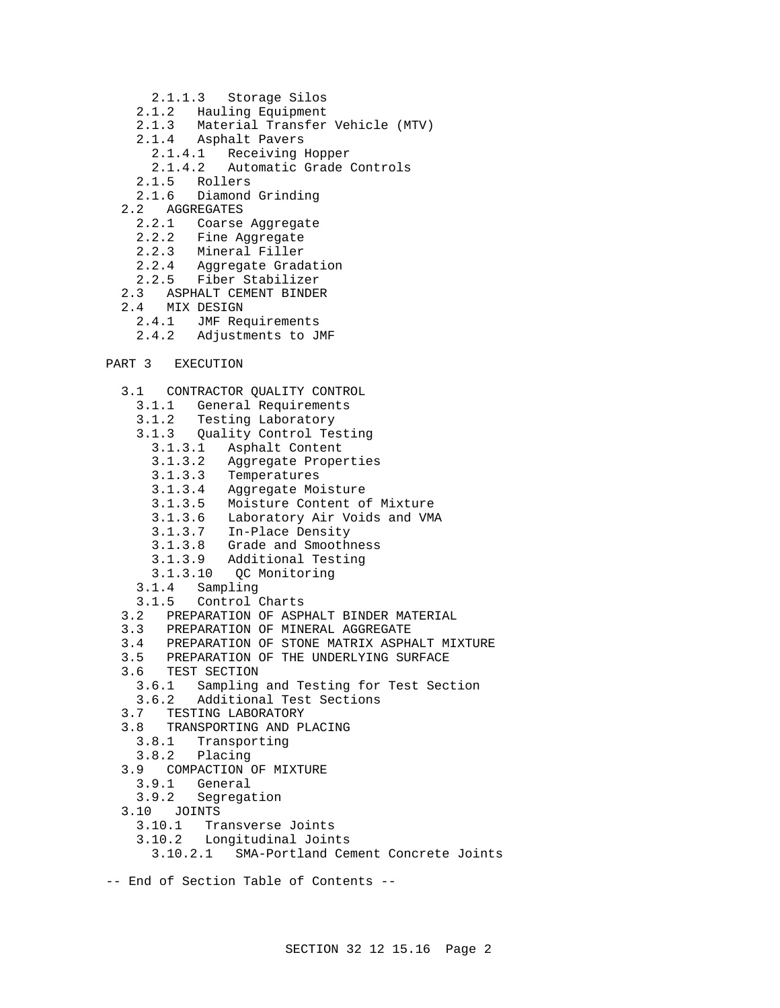- 2.1.1.3 Storage Silos
- 2.1.2 Hauling Equipment<br>2.1.3 Material Transfer
- Material Transfer Vehicle (MTV)
- 2.1.4 Asphalt Pavers
	- 2.1.4.1 Receiving Hopper
	- 2.1.4.2 Automatic Grade Controls
- 2.1.5 Rollers
- 2.1.6 Diamond Grinding
- 2.2 AGGREGATES
	- 2.2.1 Coarse Aggregate
	- 2.2.2 Fine Aggregate
	- 2.2.3 Mineral Filler
	- 2.2.4 Aggregate Gradation
	- 2.2.5 Fiber Stabilizer
- 2.3 ASPHALT CEMENT BINDER
- 2.4 MIX DESIGN
	- 2.4.1 JMF Requirements
	- 2.4.2 Adjustments to JMF

# PART 3 EXECUTION

- 3.1 CONTRACTOR QUALITY CONTROL
	- 3.1.1 General Requirements
	- 3.1.2 Testing Laboratory
	- 3.1.3 Quality Control Testing
		- 3.1.3.1 Asphalt Content
		- 3.1.3.2 Aggregate Properties
		- 3.1.3.3 Temperatures
		- 3.1.3.4 Aggregate Moisture
		- 3.1.3.5 Moisture Content of Mixture
		- 3.1.3.6 Laboratory Air Voids and VMA
		- 3.1.3.7 In-Place Density
		- 3.1.3.8 Grade and Smoothness
		- 3.1.3.9 Additional Testing
		- 3.1.3.10 QC Monitoring
	- 3.1.4 Sampling
	- 3.1.5 Control Charts
- 3.2 PREPARATION OF ASPHALT BINDER MATERIAL
- 3.3 PREPARATION OF MINERAL AGGREGATE
- 3.4 PREPARATION OF STONE MATRIX ASPHALT MIXTURE
- 3.5 PREPARATION OF THE UNDERLYING SURFACE
- 3.6 TEST SECTION
	- 3.6.1 Sampling and Testing for Test Section
	- 3.6.2 Additional Test Sections
- 3.7 TESTING LABORATORY
- 3.8 TRANSPORTING AND PLACING
	- 3.8.1 Transporting
- 3.8.2 Placing
- 3.9 COMPACTION OF MIXTURE
	- 3.9.1 General
- 3.9.2 Segregation
- 3.10 JOINTS
	- 3.10.1 Transverse Joints
	- 3.10.2 Longitudinal Joints
	- 3.10.2.1 SMA-Portland Cement Concrete Joints
- -- End of Section Table of Contents --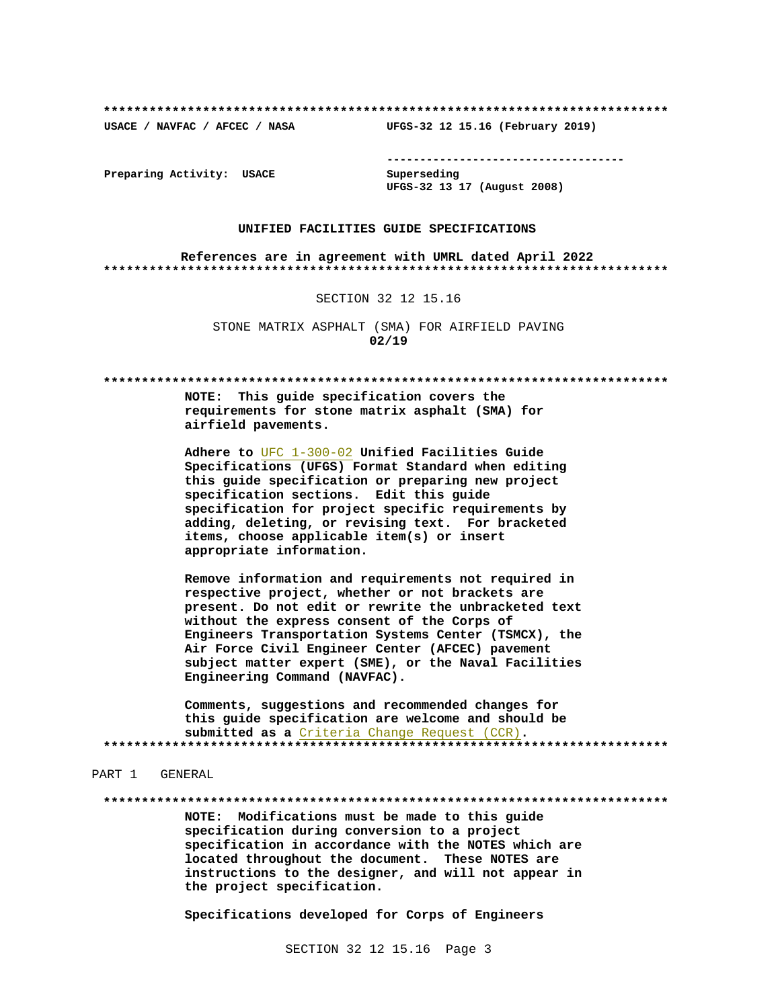USACE / NAVFAC / AFCEC / NASA

--------------------------------------

Preparing Activity: USACE

Superseding UFGS-32 13 17 (August 2008)

UFGS-32 12 15.16 (February 2019)

### UNIFIED FACILITIES GUIDE SPECIFICATIONS

References are in agreement with UMRL dated April 2022 

### SECTION 32 12 15.16

STONE MATRIX ASPHALT (SMA) FOR AIRFIELD PAVING  $02/19$ 

NOTE: This guide specification covers the requirements for stone matrix asphalt (SMA) for airfield pavements.

Adhere to UFC 1-300-02 Unified Facilities Guide Specifications (UFGS) Format Standard when editing this guide specification or preparing new project specification sections. Edit this guide specification for project specific requirements by adding, deleting, or revising text. For bracketed items, choose applicable item(s) or insert appropriate information.

Remove information and requirements not required in respective project, whether or not brackets are present. Do not edit or rewrite the unbracketed text without the express consent of the Corps of Engineers Transportation Systems Center (TSMCX), the Air Force Civil Engineer Center (AFCEC) pavement subject matter expert (SME), or the Naval Facilities Engineering Command (NAVFAC).

Comments, suggestions and recommended changes for this quide specification are welcome and should be submitted as a Criteria Change Request (CCR). 

# PART 1 GENERAL

NOTE: Modifications must be made to this guide specification during conversion to a project specification in accordance with the NOTES which are located throughout the document. These NOTES are instructions to the designer, and will not appear in the project specification.

Specifications developed for Corps of Engineers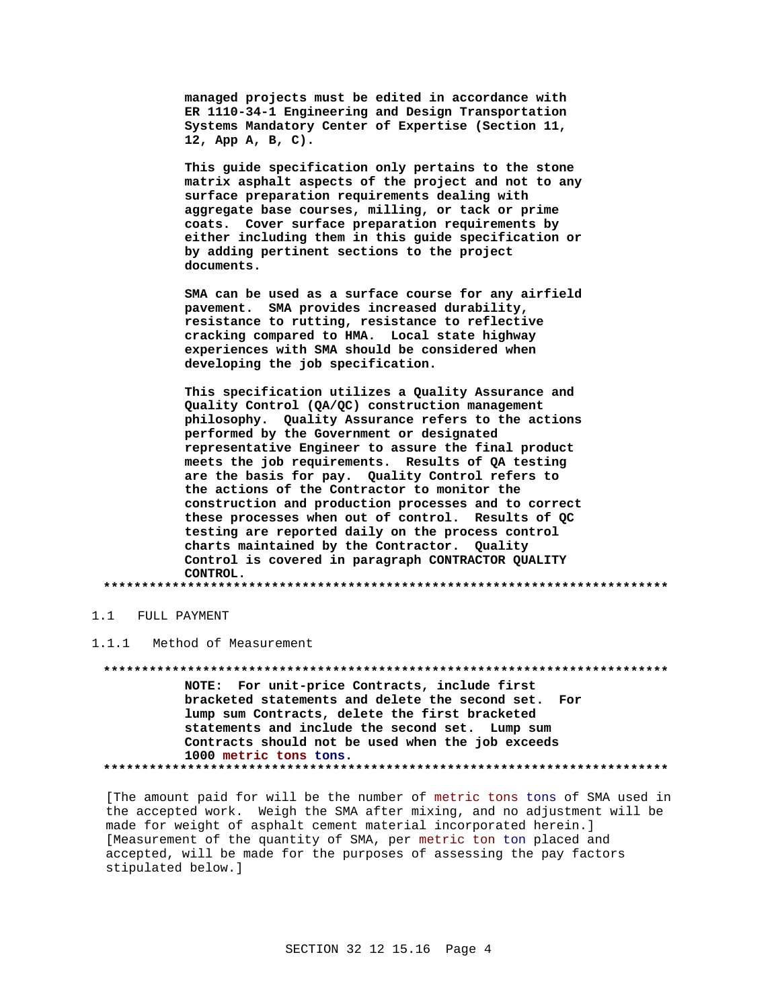managed projects must be edited in accordance with ER 1110-34-1 Engineering and Design Transportation Systems Mandatory Center of Expertise (Section 11, 12, App A, B, C).

This guide specification only pertains to the stone matrix asphalt aspects of the project and not to any surface preparation requirements dealing with aggregate base courses, milling, or tack or prime coats. Cover surface preparation requirements by either including them in this guide specification or by adding pertinent sections to the project documents.

SMA can be used as a surface course for any airfield pavement. SMA provides increased durability, resistance to rutting, resistance to reflective cracking compared to HMA. Local state highway experiences with SMA should be considered when developing the job specification.

This specification utilizes a Quality Assurance and Quality Control (QA/QC) construction management philosophy. Quality Assurance refers to the actions performed by the Government or designated representative Engineer to assure the final product meets the job requirements. Results of QA testing are the basis for pay. Quality Control refers to the actions of the Contractor to monitor the construction and production processes and to correct these processes when out of control. Results of QC testing are reported daily on the process control charts maintained by the Contractor. Quality Control is covered in paragraph CONTRACTOR QUALITY CONTROL.

# 1.1 FULL PAYMENT

 $1.1.1$ Method of Measurement

NOTE: For unit-price Contracts, include first bracketed statements and delete the second set. For lump sum Contracts, delete the first bracketed statements and include the second set. Lump sum Contracts should not be used when the job exceeds 1000 metric tons tons. 

[The amount paid for will be the number of metric tons tons of SMA used in the accepted work. Weigh the SMA after mixing, and no adjustment will be made for weight of asphalt cement material incorporated herein.] [Measurement of the quantity of SMA, per metric ton ton placed and accepted, will be made for the purposes of assessing the pay factors stipulated below.]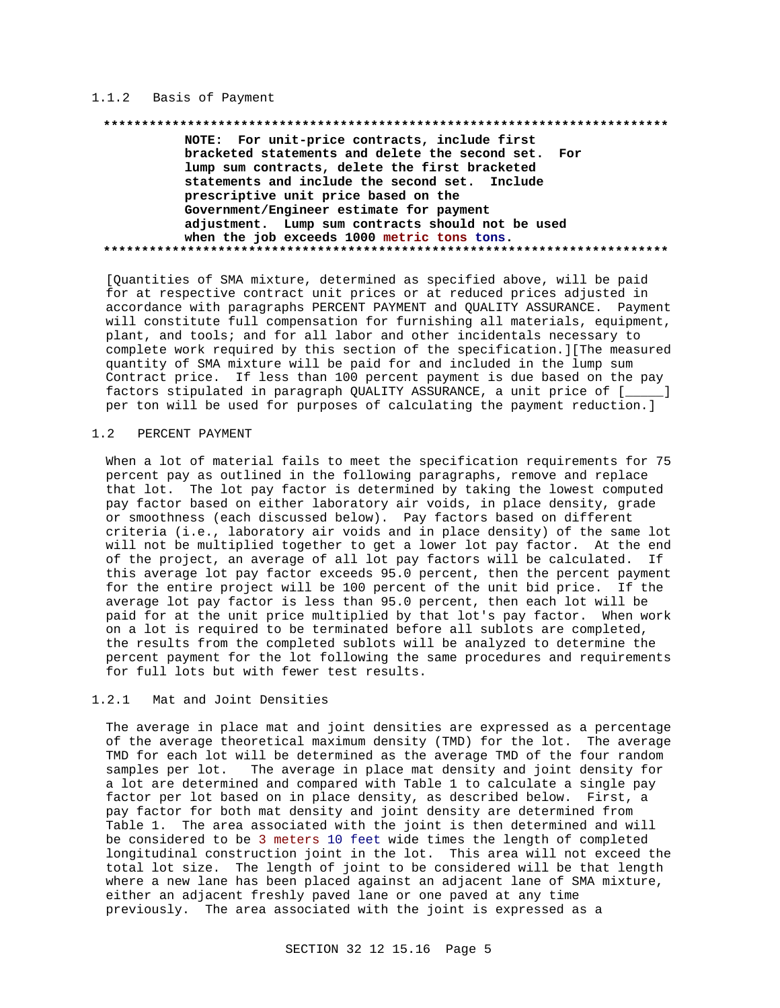# 1.1.2 Basis of Payment

NOTE: For unit-price contracts, include first bracketed statements and delete the second set. For lump sum contracts, delete the first bracketed statements and include the second set. Include prescriptive unit price based on the Government/Engineer estimate for payment adjustment. Lump sum contracts should not be used when the job exceeds 1000 metric tons tons. 

[Quantities of SMA mixture, determined as specified above, will be paid for at respective contract unit prices or at reduced prices adjusted in accordance with paragraphs PERCENT PAYMENT and QUALITY ASSURANCE. Payment will constitute full compensation for furnishing all materials, equipment, plant, and tools; and for all labor and other incidentals necessary to complete work required by this section of the specification. ] [The measured quantity of SMA mixture will be paid for and included in the lump sum Contract price. If less than 100 percent payment is due based on the pay factors stipulated in paragraph QUALITY ASSURANCE, a unit price of [\_\_\_\_] per ton will be used for purposes of calculating the payment reduction.]

#### $1.2$ PERCENT PAYMENT

When a lot of material fails to meet the specification requirements for 75 percent pay as outlined in the following paragraphs, remove and replace that lot. The lot pay factor is determined by taking the lowest computed pay factor based on either laboratory air voids, in place density, grade or smoothness (each discussed below). Pay factors based on different criteria (i.e., laboratory air voids and in place density) of the same lot will not be multiplied together to get a lower lot pay factor. At the end of the project, an average of all lot pay factors will be calculated. If this average lot pay factor exceeds 95.0 percent, then the percent payment for the entire project will be 100 percent of the unit bid price. If the average lot pay factor is less than 95.0 percent, then each lot will be paid for at the unit price multiplied by that lot's pay factor. When work on a lot is required to be terminated before all sublots are completed, the results from the completed sublots will be analyzed to determine the percent payment for the lot following the same procedures and requirements for full lots but with fewer test results.

#### $1.2.1$ Mat and Joint Densities

The average in place mat and joint densities are expressed as a percentage of the average theoretical maximum density (TMD) for the lot. The average TMD for each lot will be determined as the average TMD of the four random The average in place mat density and joint density for samples per lot. a lot are determined and compared with Table 1 to calculate a single pay factor per lot based on in place density, as described below. First, a pay factor for both mat density and joint density are determined from Table 1. The area associated with the joint is then determined and will be considered to be 3 meters 10 feet wide times the length of completed longitudinal construction joint in the lot. This area will not exceed the total lot size. The length of joint to be considered will be that length where a new lane has been placed against an adjacent lane of SMA mixture, either an adjacent freshly paved lane or one paved at any time previously. The area associated with the joint is expressed as a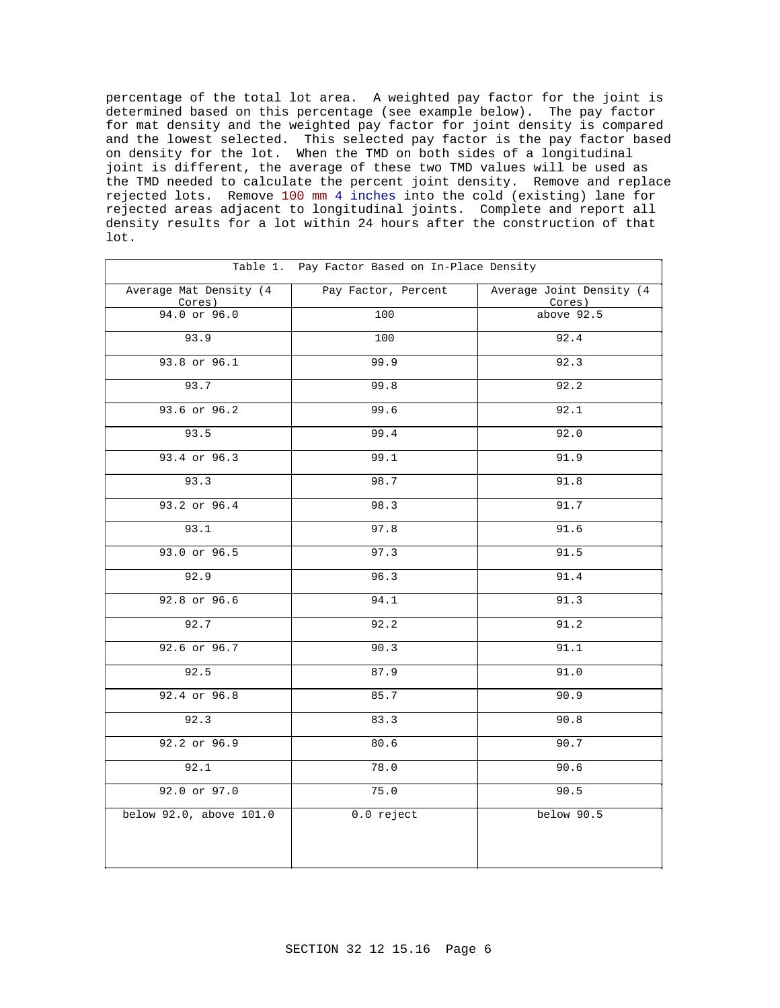percentage of the total lot area. A weighted pay factor for the joint is determined based on this percentage (see example below). The pay factor for mat density and the weighted pay factor for joint density is compared and the lowest selected. This selected pay factor is the pay factor based on density for the lot. When the TMD on both sides of a longitudinal joint is different, the average of these two TMD values will be used as the TMD needed to calculate the percent joint density. Remove and replace rejected lots. Remove 100 mm 4 inches into the cold (existing) lane for rejected areas adjacent to longitudinal joints. Complete and report all density results for a lot within 24 hours after the construction of that lot.

| Table 1. Pay Factor Based on In-Place Density |                     |                                    |
|-----------------------------------------------|---------------------|------------------------------------|
| Average Mat Density (4<br>Cores)              | Pay Factor, Percent | Average Joint Density (4<br>Cores) |
| 94.0 or 96.0                                  | 100                 | above 92.5                         |
| 93.9                                          | 100                 | 92.4                               |
| 93.8 or 96.1                                  | 99.9                | 92.3                               |
| 93.7                                          | 99.8                | 92.2                               |
| 93.6 or 96.2                                  | 99.6                | 92.1                               |
| 93.5                                          | 99.4                | 92.0                               |
| 93.4 or 96.3                                  | 99.1                | 91.9                               |
| 93.3                                          | 98.7                | 91.8                               |
| 93.2 or 96.4                                  | 98.3                | 91.7                               |
| 93.1                                          | 97.8                | 91.6                               |
| 93.0 or 96.5                                  | 97.3                | 91.5                               |
| 92.9                                          | 96.3                | 91.4                               |
| 92.8 or 96.6                                  | 94.1                | 91.3                               |
| 92.7                                          | 92.2                | 91.2                               |
| 92.6 or 96.7                                  | 90.3                | 91.1                               |
| 92.5                                          | 87.9                | 91.0                               |
| 92.4 or 96.8                                  | 85.7                | 90.9                               |
| 92.3                                          | 83.3                | 90.8                               |
| 92.2 or 96.9                                  | 80.6                | 90.7                               |
| 92.1                                          | 78.0                | 90.6                               |
| 92.0 or 97.0                                  | 75.0                | 90.5                               |
| below 92.0, above 101.0                       | 0.0 reject          | below 90.5                         |
|                                               |                     |                                    |
|                                               |                     |                                    |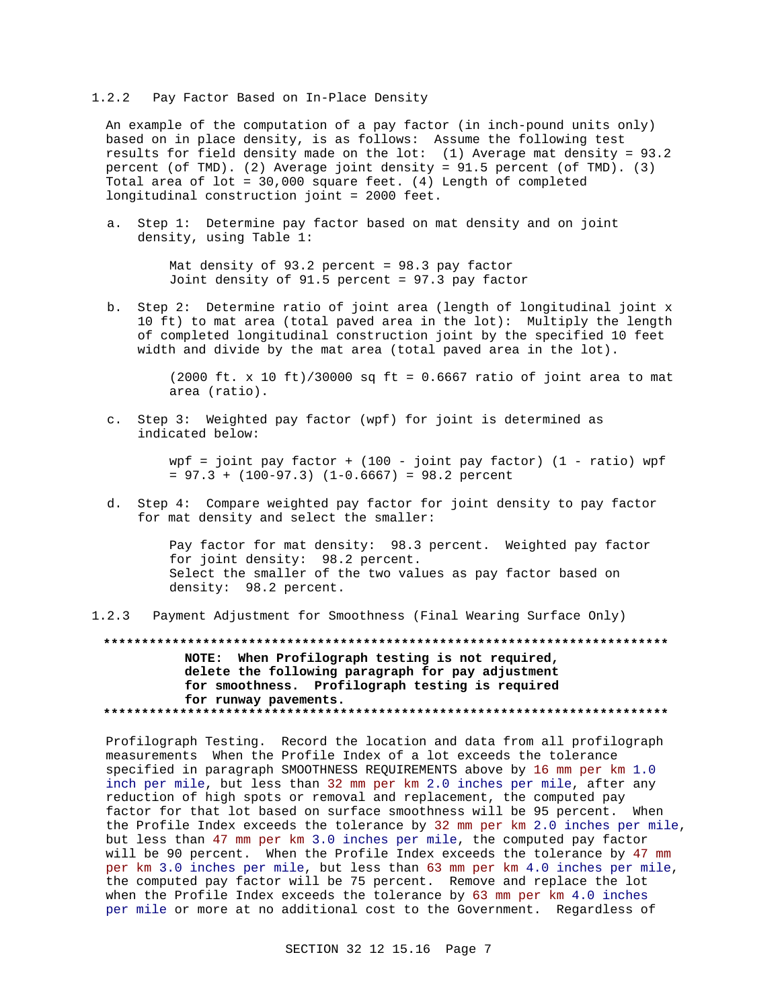#### $1.2.2$ Pay Factor Based on In-Place Density

An example of the computation of a pay factor (in inch-pound units only) based on in place density, is as follows: Assume the following test results for field density made on the lot: (1) Average mat density =  $93.2$ percent (of TMD). (2) Average joint density = 91.5 percent (of TMD). (3) Total area of lot = 30,000 square feet. (4) Length of completed longitudinal construction joint = 2000 feet.

a. Step 1: Determine pay factor based on mat density and on joint density, using Table 1:

> Mat density of  $93.2$  percent =  $98.3$  pay factor Joint density of 91.5 percent = 97.3 pay factor

b. Step 2: Determine ratio of joint area (length of longitudinal joint x 10 ft) to mat area (total paved area in the lot): Multiply the length of completed longitudinal construction joint by the specified 10 feet width and divide by the mat area (total paved area in the lot).

> $(2000 \text{ ft. x } 10 \text{ ft})/30000 \text{ sq ft} = 0.6667 \text{ ratio of joint area to mat}$ area (ratio).

c. Step 3: Weighted pay factor (wpf) for joint is determined as indicated below:

> wpf = joint pay factor + (100 - joint pay factor) (1 - ratio) wpf  $= 97.3 + (100-97.3)$   $(1-0.6667) = 98.2$  percent

d. Step 4: Compare weighted pay factor for joint density to pay factor for mat density and select the smaller:

> Pay factor for mat density: 98.3 percent. Weighted pay factor for joint density: 98.2 percent. Select the smaller of the two values as pay factor based on density: 98.2 percent.

 $1.2.3$ Payment Adjustment for Smoothness (Final Wearing Surface Only)

NOTE: When Profilograph testing is not required, delete the following paragraph for pay adjustment for smoothness. Profilograph testing is required for runway pavements.

Profilograph Testing. Record the location and data from all profilograph measurements When the Profile Index of a lot exceeds the tolerance specified in paragraph SMOOTHNESS REOUIREMENTS above by 16 mm per km 1.0 inch per mile, but less than 32 mm per km 2.0 inches per mile, after any reduction of high spots or removal and replacement, the computed pay factor for that lot based on surface smoothness will be 95 percent. When the Profile Index exceeds the tolerance by 32 mm per km 2.0 inches per mile, but less than 47 mm per km 3.0 inches per mile, the computed pay factor will be 90 percent. When the Profile Index exceeds the tolerance by 47 mm per km 3.0 inches per mile, but less than 63 mm per km 4.0 inches per mile, the computed pay factor will be 75 percent. Remove and replace the lot when the Profile Index exceeds the tolerance by  $63$  mm per km  $4.0$  inches per mile or more at no additional cost to the Government. Regardless of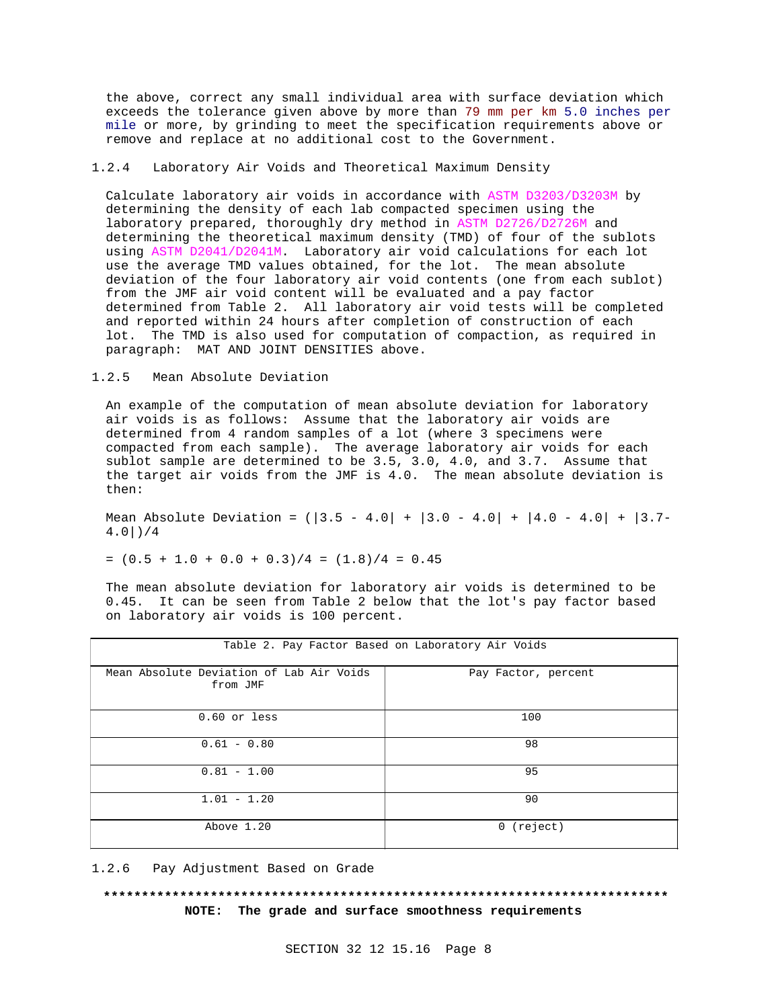the above, correct any small individual area with surface deviation which exceeds the tolerance given above by more than 79 mm per km 5.0 inches per mile or more, by grinding to meet the specification requirements above or remove and replace at no additional cost to the Government.

# 1.2.4 Laboratory Air Voids and Theoretical Maximum Density

Calculate laboratory air voids in accordance with ASTM D3203/D3203M by determining the density of each lab compacted specimen using the laboratory prepared, thoroughly dry method in ASTM D2726/D2726M and determining the theoretical maximum density (TMD) of four of the sublots using ASTM D2041/D2041M. Laboratory air void calculations for each lot use the average TMD values obtained, for the lot. The mean absolute deviation of the four laboratory air void contents (one from each sublot) from the JMF air void content will be evaluated and a pay factor determined from Table 2. All laboratory air void tests will be completed and reported within 24 hours after completion of construction of each lot. The TMD is also used for computation of compaction, as required in paragraph: MAT AND JOINT DENSITIES above.

# 1.2.5 Mean Absolute Deviation

An example of the computation of mean absolute deviation for laboratory air voids is as follows: Assume that the laboratory air voids are determined from 4 random samples of a lot (where 3 specimens were compacted from each sample). The average laboratory air voids for each sublot sample are determined to be 3.5, 3.0, 4.0, and 3.7. Assume that the target air voids from the JMF is 4.0. The mean absolute deviation is then:

Mean Absolute Deviation =  $(|3.5 - 4.0| + |3.0 - 4.0| + |4.0 - 4.0| + |3.7-$ 4.0|)/4

$$
= (0.5 + 1.0 + 0.0 + 0.3)/4 = (1.8)/4 = 0.45
$$

The mean absolute deviation for laboratory air voids is determined to be 0.45. It can be seen from Table 2 below that the lot's pay factor based on laboratory air voids is 100 percent.

| Table 2. Pay Factor Based on Laboratory Air Voids    |                     |
|------------------------------------------------------|---------------------|
| Mean Absolute Deviation of Lab Air Voids<br>from JMF | Pay Factor, percent |
| $0.60$ or less                                       | 100                 |
| $0.61 - 0.80$                                        | 98                  |
| $0.81 - 1.00$                                        | 95                  |
| $1.01 - 1.20$                                        | 90                  |
| Above 1.20                                           | (reject)<br>0       |

1.2.6 Pay Adjustment Based on Grade

# **\*\*\*\*\*\*\*\*\*\*\*\*\*\*\*\*\*\*\*\*\*\*\*\*\*\*\*\*\*\*\*\*\*\*\*\*\*\*\*\*\*\*\*\*\*\*\*\*\*\*\*\*\*\*\*\*\*\*\*\*\*\*\*\*\*\*\*\*\*\*\*\*\*\* NOTE: The grade and surface smoothness requirements**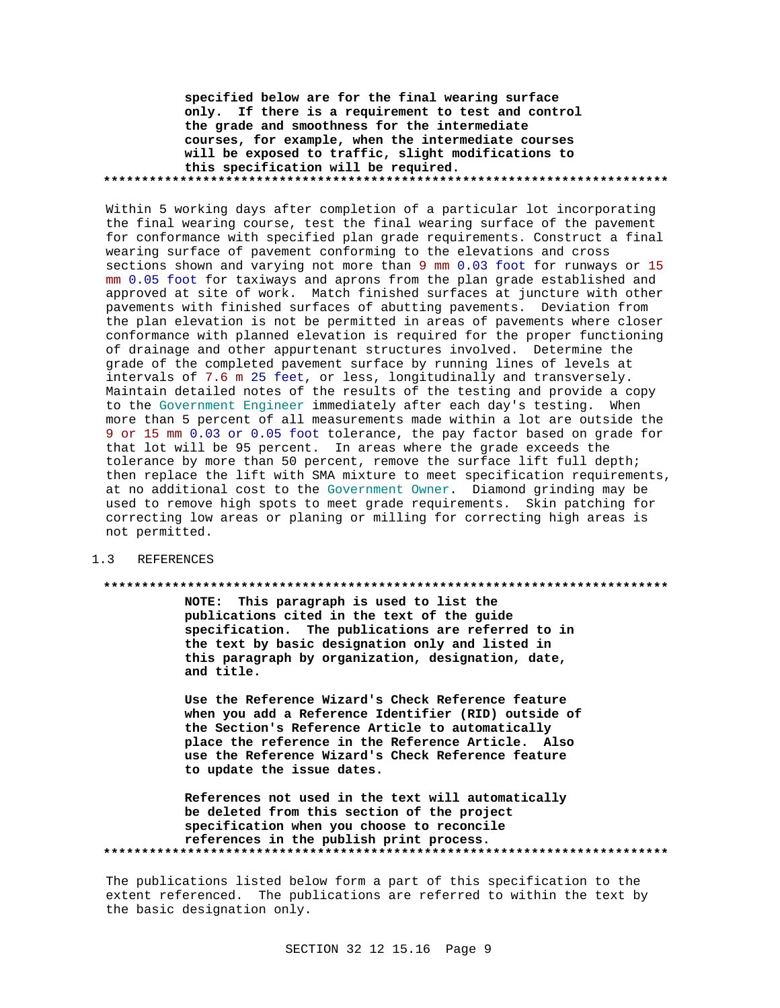**specified below are for the final wearing surface only. If there is a requirement to test and control the grade and smoothness for the intermediate courses, for example, when the intermediate courses will be exposed to traffic, slight modifications to this specification will be required. \*\*\*\*\*\*\*\*\*\*\*\*\*\*\*\*\*\*\*\*\*\*\*\*\*\*\*\*\*\*\*\*\*\*\*\*\*\*\*\*\*\*\*\*\*\*\*\*\*\*\*\*\*\*\*\*\*\*\*\*\*\*\*\*\*\*\*\*\*\*\*\*\*\***

Within 5 working days after completion of a particular lot incorporating the final wearing course, test the final wearing surface of the pavement for conformance with specified plan grade requirements. Construct a final wearing surface of pavement conforming to the elevations and cross sections shown and varying not more than 9 mm 0.03 foot for runways or 15 mm 0.05 foot for taxiways and aprons from the plan grade established and approved at site of work. Match finished surfaces at juncture with other pavements with finished surfaces of abutting pavements. Deviation from the plan elevation is not be permitted in areas of pavements where closer conformance with planned elevation is required for the proper functioning of drainage and other appurtenant structures involved. Determine the grade of the completed pavement surface by running lines of levels at intervals of 7.6 m 25 feet, or less, longitudinally and transversely. Maintain detailed notes of the results of the testing and provide a copy to the Government Engineer immediately after each day's testing. When more than 5 percent of all measurements made within a lot are outside the 9 or 15 mm 0.03 or 0.05 foot tolerance, the pay factor based on grade for that lot will be 95 percent. In areas where the grade exceeds the tolerance by more than 50 percent, remove the surface lift full depth; then replace the lift with SMA mixture to meet specification requirements, at no additional cost to the Government Owner. Diamond grinding may be used to remove high spots to meet grade requirements. Skin patching for correcting low areas or planing or milling for correcting high areas is not permitted.

# 1.3 REFERENCES

#### **\*\*\*\*\*\*\*\*\*\*\*\*\*\*\*\*\*\*\*\*\*\*\*\*\*\*\*\*\*\*\*\*\*\*\*\*\*\*\*\*\*\*\*\*\*\*\*\*\*\*\*\*\*\*\*\*\*\*\*\*\*\*\*\*\*\*\*\*\*\*\*\*\*\***

**NOTE: This paragraph is used to list the publications cited in the text of the guide specification. The publications are referred to in the text by basic designation only and listed in this paragraph by organization, designation, date, and title.**

**Use the Reference Wizard's Check Reference feature when you add a Reference Identifier (RID) outside of the Section's Reference Article to automatically place the reference in the Reference Article. Also use the Reference Wizard's Check Reference feature to update the issue dates.**

**References not used in the text will automatically be deleted from this section of the project specification when you choose to reconcile references in the publish print process. \*\*\*\*\*\*\*\*\*\*\*\*\*\*\*\*\*\*\*\*\*\*\*\*\*\*\*\*\*\*\*\*\*\*\*\*\*\*\*\*\*\*\*\*\*\*\*\*\*\*\*\*\*\*\*\*\*\*\*\*\*\*\*\*\*\*\*\*\*\*\*\*\*\***

The publications listed below form a part of this specification to the extent referenced. The publications are referred to within the text by the basic designation only.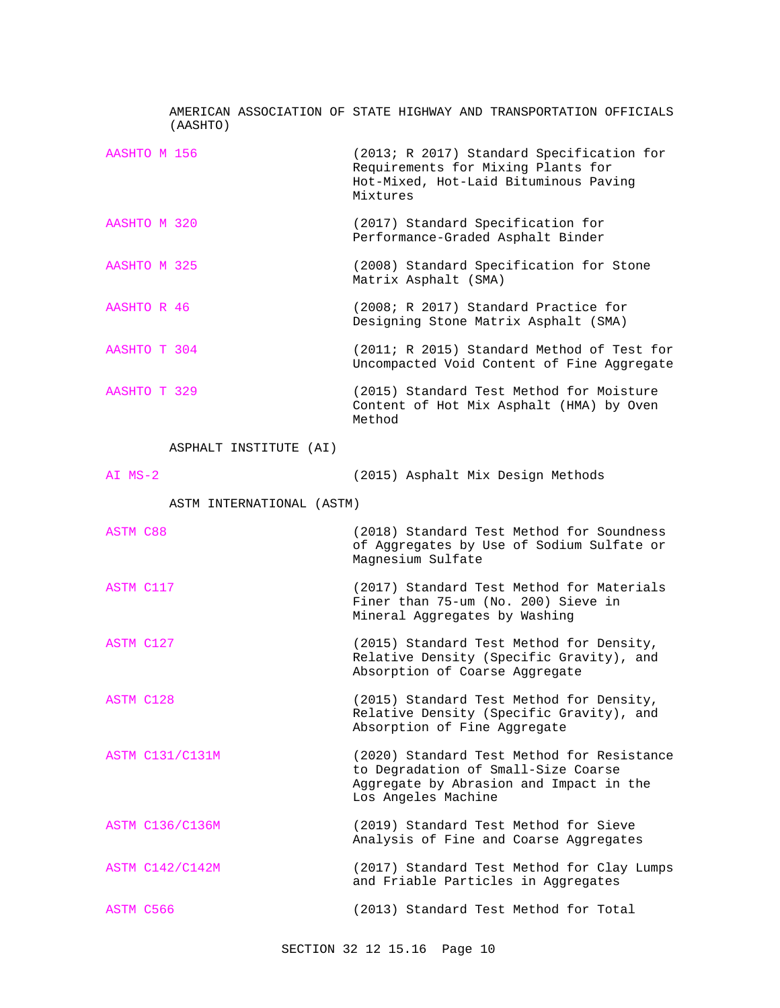| (AASHTO)                  | AMERICAN ASSOCIATION OF STATE HIGHWAY AND TRANSPORTATION OFFICIALS                                                                                  |
|---------------------------|-----------------------------------------------------------------------------------------------------------------------------------------------------|
| AASHTO M 156              | (2013; R 2017) Standard Specification for<br>Requirements for Mixing Plants for<br>Hot-Mixed, Hot-Laid Bituminous Paving<br>Mixtures                |
| AASHTO M 320              | (2017) Standard Specification for<br>Performance-Graded Asphalt Binder                                                                              |
| AASHTO M 325              | (2008) Standard Specification for Stone<br>Matrix Asphalt (SMA)                                                                                     |
| AASHTO R 46               | (2008; R 2017) Standard Practice for<br>Designing Stone Matrix Asphalt (SMA)                                                                        |
| AASHTO T 304              | (2011; R 2015) Standard Method of Test for<br>Uncompacted Void Content of Fine Aggregate                                                            |
| AASHTO T 329              | (2015) Standard Test Method for Moisture<br>Content of Hot Mix Asphalt (HMA) by Oven<br>Method                                                      |
| ASPHALT INSTITUTE (AI)    |                                                                                                                                                     |
| $AI$ $MS-2$               | (2015) Asphalt Mix Design Methods                                                                                                                   |
| ASTM INTERNATIONAL (ASTM) |                                                                                                                                                     |
| <b>ASTM C88</b>           | (2018) Standard Test Method for Soundness<br>of Aggregates by Use of Sodium Sulfate or<br>Magnesium Sulfate                                         |
| ASTM C117                 | (2017) Standard Test Method for Materials<br>Finer than 75-um (No. 200) Sieve in<br>Mineral Aggregates by Washing                                   |
| ASTM C127                 | (2015) Standard Test Method for Density,<br>Relative Density (Specific Gravity), and<br>Absorption of Coarse Aggregate                              |
| ASTM C128                 | (2015) Standard Test Method for Density,<br>Relative Density (Specific Gravity), and<br>Absorption of Fine Aggregate                                |
| ASTM C131/C131M           | (2020) Standard Test Method for Resistance<br>to Degradation of Small-Size Coarse<br>Aggregate by Abrasion and Impact in the<br>Los Angeles Machine |
| <b>ASTM C136/C136M</b>    | (2019) Standard Test Method for Sieve<br>Analysis of Fine and Coarse Aggregates                                                                     |
| ASTM C142/C142M           | (2017) Standard Test Method for Clay Lumps<br>and Friable Particles in Aggregates                                                                   |
|                           |                                                                                                                                                     |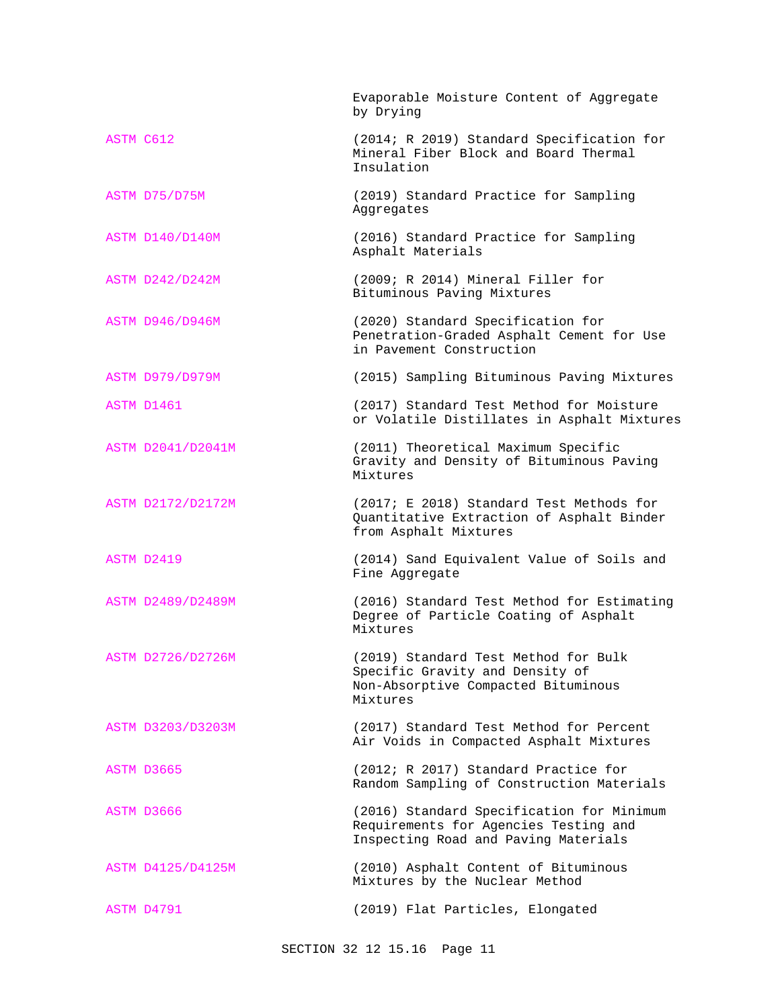|           |                        | Evaporable Moisture Content of Aggregate<br>by Drying                                                                      |
|-----------|------------------------|----------------------------------------------------------------------------------------------------------------------------|
| ASTM C612 |                        | (2014; R 2019) Standard Specification for<br>Mineral Fiber Block and Board Thermal<br>Insulation                           |
|           | ASTM D75/D75M          | (2019) Standard Practice for Sampling<br>Aggregates                                                                        |
|           | <b>ASTM D140/D140M</b> | (2016) Standard Practice for Sampling<br>Asphalt Materials                                                                 |
|           | <b>ASTM D242/D242M</b> | (2009; R 2014) Mineral Filler for<br>Bituminous Paving Mixtures                                                            |
|           | <b>ASTM D946/D946M</b> | (2020) Standard Specification for<br>Penetration-Graded Asphalt Cement for Use<br>in Pavement Construction                 |
|           | <b>ASTM D979/D979M</b> | (2015) Sampling Bituminous Paving Mixtures                                                                                 |
|           | ASTM D1461             | (2017) Standard Test Method for Moisture<br>or Volatile Distillates in Asphalt Mixtures                                    |
|           | ASTM D2041/D2041M      | (2011) Theoretical Maximum Specific<br>Gravity and Density of Bituminous Paving<br>Mixtures                                |
|           | ASTM D2172/D2172M      | (2017; E 2018) Standard Test Methods for<br>Quantitative Extraction of Asphalt Binder<br>from Asphalt Mixtures             |
|           | ASTM D2419             | (2014) Sand Equivalent Value of Soils and<br>Fine Aggregate                                                                |
|           | ASTM D2489/D2489M      | (2016) Standard Test Method for Estimating<br>Degree of Particle Coating of Asphalt<br>Mixtures                            |
|           | ASTM D2726/D2726M      | (2019) Standard Test Method for Bulk<br>Specific Gravity and Density of<br>Non-Absorptive Compacted Bituminous<br>Mixtures |
|           | ASTM D3203/D3203M      | (2017) Standard Test Method for Percent<br>Air Voids in Compacted Asphalt Mixtures                                         |
|           | ASTM D3665             | (2012; R 2017) Standard Practice for<br>Random Sampling of Construction Materials                                          |
|           | ASTM D3666             | (2016) Standard Specification for Minimum<br>Requirements for Agencies Testing and<br>Inspecting Road and Paving Materials |
|           | ASTM D4125/D4125M      | (2010) Asphalt Content of Bituminous<br>Mixtures by the Nuclear Method                                                     |
|           | ASTM D4791             | (2019) Flat Particles, Elongated                                                                                           |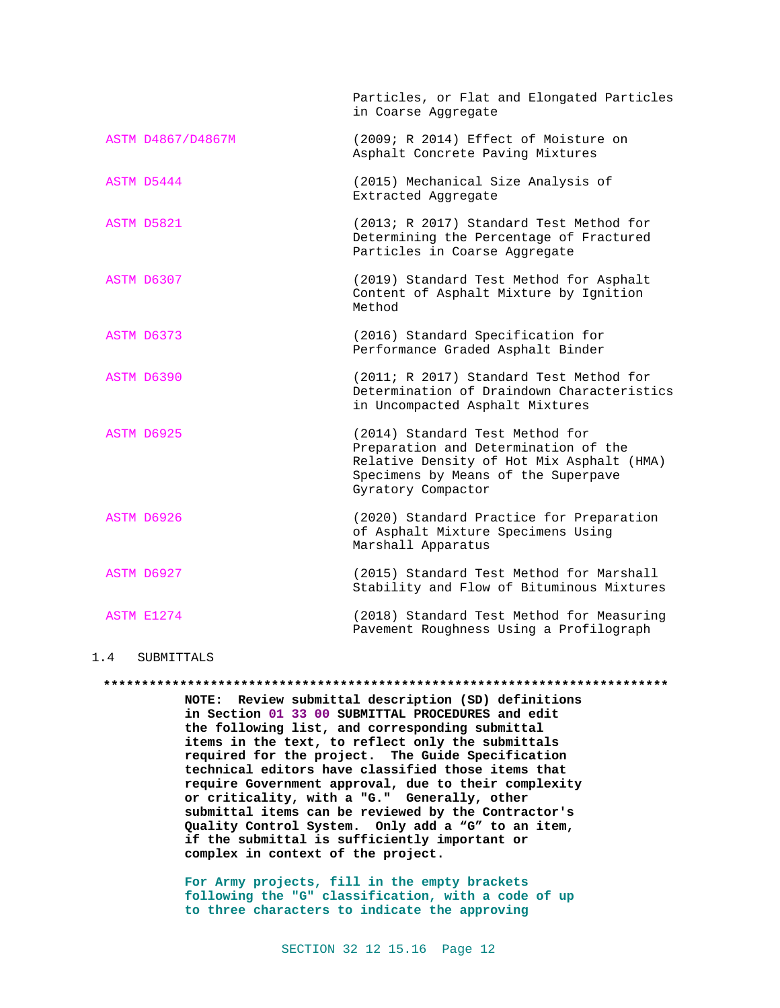|                   | Particles, or Flat and Elongated Particles<br>in Coarse Aggregate                                                                                                                 |
|-------------------|-----------------------------------------------------------------------------------------------------------------------------------------------------------------------------------|
| ASTM D4867/D4867M | (2009; R 2014) Effect of Moisture on<br>Asphalt Concrete Paving Mixtures                                                                                                          |
| ASTM D5444        | (2015) Mechanical Size Analysis of<br>Extracted Aggregate                                                                                                                         |
| ASTM D5821        | (2013; R 2017) Standard Test Method for<br>Determining the Percentage of Fractured<br>Particles in Coarse Aggregate                                                               |
| ASTM D6307        | (2019) Standard Test Method for Asphalt<br>Content of Asphalt Mixture by Ignition<br>Method                                                                                       |
| ASTM D6373        | (2016) Standard Specification for<br>Performance Graded Asphalt Binder                                                                                                            |
| ASTM D6390        | (2011; R 2017) Standard Test Method for<br>Determination of Draindown Characteristics<br>in Uncompacted Asphalt Mixtures                                                          |
| ASTM D6925        | (2014) Standard Test Method for<br>Preparation and Determination of the<br>Relative Density of Hot Mix Asphalt (HMA)<br>Specimens by Means of the Superpave<br>Gyratory Compactor |
| ASTM D6926        | (2020) Standard Practice for Preparation<br>of Asphalt Mixture Specimens Using<br>Marshall Apparatus                                                                              |
| ASTM D6927        | (2015) Standard Test Method for Marshall<br>Stability and Flow of Bituminous Mixtures                                                                                             |
| ASTM E1274        | (2018) Standard Test Method for Measuring<br>Pavement Roughness Using a Profilograph                                                                                              |

# 1.4 SUBMITTALS

**NOTE: Review submittal description (SD) definitions in Section 01 33 00 SUBMITTAL PROCEDURES and edit the following list, and corresponding submittal items in the text, to reflect only the submittals required for the project. The Guide Specification technical editors have classified those items that require Government approval, due to their complexity or criticality, with a "G." Generally, other submittal items can be reviewed by the Contractor's Quality Control System. Only add a "G" to an item, if the submittal is sufficiently important or complex in context of the project.**

**\*\*\*\*\*\*\*\*\*\*\*\*\*\*\*\*\*\*\*\*\*\*\*\*\*\*\*\*\*\*\*\*\*\*\*\*\*\*\*\*\*\*\*\*\*\*\*\*\*\*\*\*\*\*\*\*\*\*\*\*\*\*\*\*\*\*\*\*\*\*\*\*\*\***

**For Army projects, fill in the empty brackets following the "G" classification, with a code of up to three characters to indicate the approving**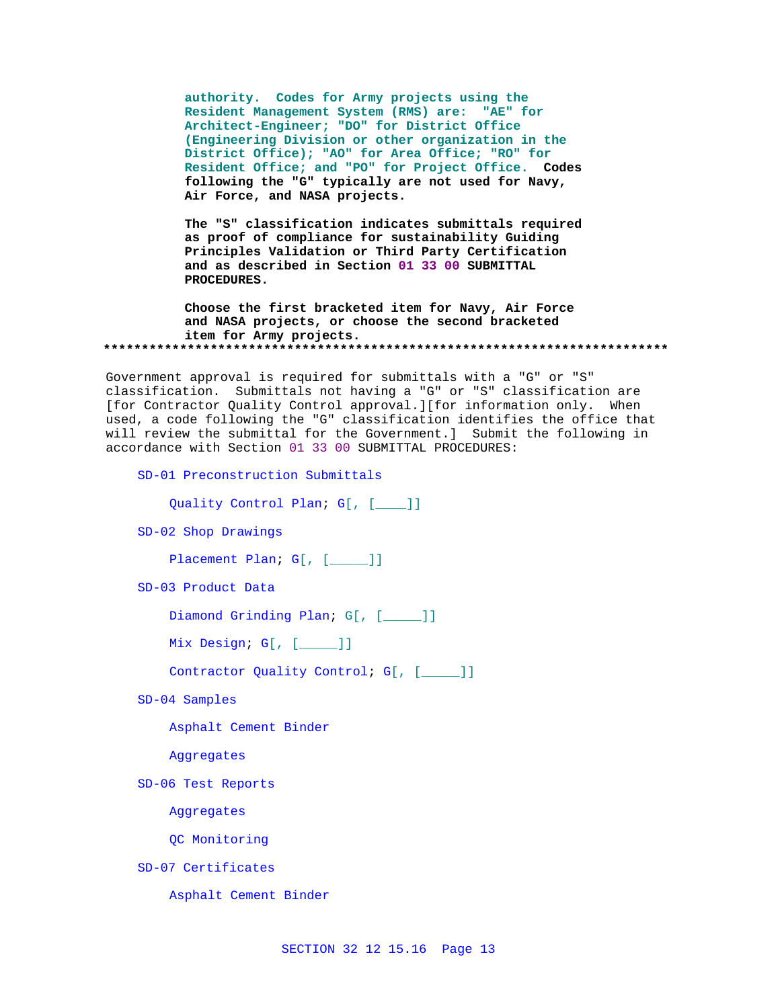**authority. Codes for Army projects using the Resident Management System (RMS) are: "AE" for Architect-Engineer; "DO" for District Office (Engineering Division or other organization in the District Office); "AO" for Area Office; "RO" for Resident Office; and "PO" for Project Office. Codes following the "G" typically are not used for Navy, Air Force, and NASA projects.**

**The "S" classification indicates submittals required as proof of compliance for sustainability Guiding Principles Validation or Third Party Certification and as described in Section 01 33 00 SUBMITTAL PROCEDURES.** 

**Choose the first bracketed item for Navy, Air Force and NASA projects, or choose the second bracketed item for Army projects. \*\*\*\*\*\*\*\*\*\*\*\*\*\*\*\*\*\*\*\*\*\*\*\*\*\*\*\*\*\*\*\*\*\*\*\*\*\*\*\*\*\*\*\*\*\*\*\*\*\*\*\*\*\*\*\*\*\*\*\*\*\*\*\*\*\*\*\*\*\*\*\*\*\***

Government approval is required for submittals with a "G" or "S" classification. Submittals not having a "G" or "S" classification are [for Contractor Quality Control approval.][for information only. When used, a code following the "G" classification identifies the office that will review the submittal for the Government.] Submit the following in accordance with Section 01 33 00 SUBMITTAL PROCEDURES:

SD-01 Preconstruction Submittals

Quality Control Plan; G[, [\_\_\_\_]]

SD-02 Shop Drawings

Placement Plan; G[, [\_\_\_\_]]

SD-03 Product Data

Diamond Grinding Plan; G[, [\_\_\_\_]]

Mix Design; G[, [\_\_\_\_\_]]

Contractor Quality Control; G[, [\_\_\_\_]]

SD-04 Samples

Asphalt Cement Binder

Aggregates

SD-06 Test Reports

Aggregates

QC Monitoring

SD-07 Certificates

Asphalt Cement Binder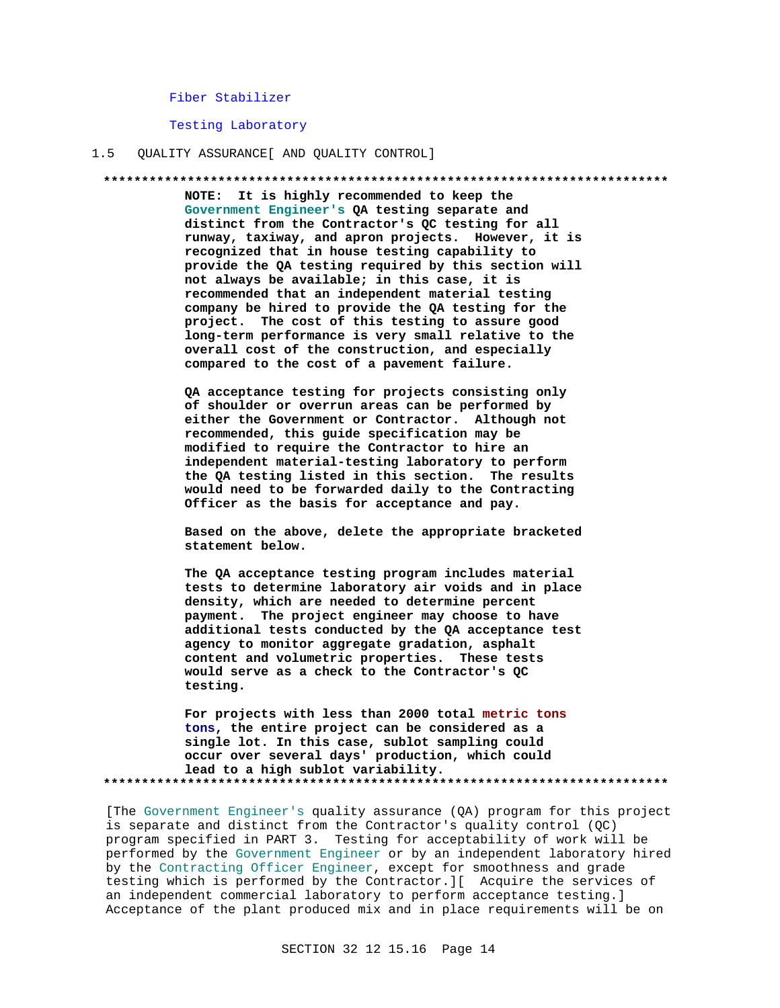# Fiber Stabilizer

Testing Laboratory

#### QUALITY ASSURANCE [ AND QUALITY CONTROL]  $1.5$

#### 

NOTE: It is highly recommended to keep the Government Engineer's QA testing separate and distinct from the Contractor's QC testing for all runway, taxiway, and apron projects. However, it is recognized that in house testing capability to provide the QA testing required by this section will not always be available; in this case, it is recommended that an independent material testing company be hired to provide the QA testing for the project. The cost of this testing to assure good long-term performance is very small relative to the overall cost of the construction, and especially compared to the cost of a pavement failure.

QA acceptance testing for projects consisting only of shoulder or overrun areas can be performed by either the Government or Contractor. Although not recommended, this guide specification may be modified to require the Contractor to hire an independent material-testing laboratory to perform the QA testing listed in this section. The results would need to be forwarded daily to the Contracting Officer as the basis for acceptance and pay.

Based on the above, delete the appropriate bracketed statement below.

The QA acceptance testing program includes material tests to determine laboratory air voids and in place density, which are needed to determine percent payment. The project engineer may choose to have additional tests conducted by the QA acceptance test agency to monitor aggregate gradation, asphalt content and volumetric properties. These tests would serve as a check to the Contractor's QC testing.

For projects with less than 2000 total metric tons tons, the entire project can be considered as a single lot. In this case, sublot sampling could occur over several days' production, which could lead to a high sublot variability. 

[The Government Engineer's quality assurance (QA) program for this project is separate and distinct from the Contractor's quality control (QC) program specified in PART 3. Testing for acceptability of work will be performed by the Government Engineer or by an independent laboratory hired by the Contracting Officer Engineer, except for smoothness and grade testing which is performed by the Contractor. I Acquire the services of an independent commercial laboratory to perform acceptance testing.] Acceptance of the plant produced mix and in place requirements will be on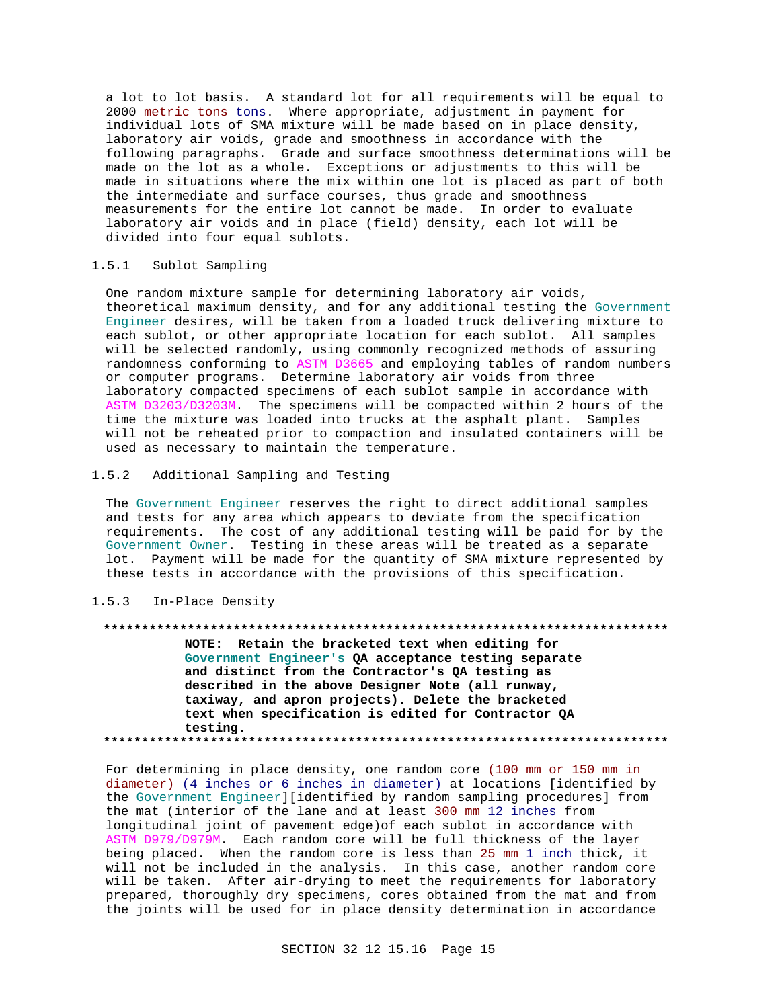a lot to lot basis. A standard lot for all requirements will be equal to 2000 metric tons tons. Where appropriate, adjustment in payment for individual lots of SMA mixture will be made based on in place density, laboratory air voids, grade and smoothness in accordance with the following paragraphs. Grade and surface smoothness determinations will be made on the lot as a whole. Exceptions or adjustments to this will be made in situations where the mix within one lot is placed as part of both the intermediate and surface courses, thus grade and smoothness measurements for the entire lot cannot be made. In order to evaluate laboratory air voids and in place (field) density, each lot will be divided into four equal sublots.

# 1.5.1 Sublot Sampling

One random mixture sample for determining laboratory air voids, theoretical maximum density, and for any additional testing the Government Engineer desires, will be taken from a loaded truck delivering mixture to each sublot, or other appropriate location for each sublot. All samples will be selected randomly, using commonly recognized methods of assuring randomness conforming to ASTM D3665 and employing tables of random numbers or computer programs. Determine laboratory air voids from three laboratory compacted specimens of each sublot sample in accordance with ASTM D3203/D3203M. The specimens will be compacted within 2 hours of the time the mixture was loaded into trucks at the asphalt plant. Samples will not be reheated prior to compaction and insulated containers will be used as necessary to maintain the temperature.

# 1.5.2 Additional Sampling and Testing

The Government Engineer reserves the right to direct additional samples and tests for any area which appears to deviate from the specification requirements. The cost of any additional testing will be paid for by the Government Owner. Testing in these areas will be treated as a separate lot. Payment will be made for the quantity of SMA mixture represented by these tests in accordance with the provisions of this specification.

# 1.5.3 In-Place Density

#### **\*\*\*\*\*\*\*\*\*\*\*\*\*\*\*\*\*\*\*\*\*\*\*\*\*\*\*\*\*\*\*\*\*\*\*\*\*\*\*\*\*\*\*\*\*\*\*\*\*\*\*\*\*\*\*\*\*\*\*\*\*\*\*\*\*\*\*\*\*\*\*\*\*\***

**NOTE: Retain the bracketed text when editing for Government Engineer's QA acceptance testing separate and distinct from the Contractor's QA testing as described in the above Designer Note (all runway, taxiway, and apron projects). Delete the bracketed text when specification is edited for Contractor QA testing. \*\*\*\*\*\*\*\*\*\*\*\*\*\*\*\*\*\*\*\*\*\*\*\*\*\*\*\*\*\*\*\*\*\*\*\*\*\*\*\*\*\*\*\*\*\*\*\*\*\*\*\*\*\*\*\*\*\*\*\*\*\*\*\*\*\*\*\*\*\*\*\*\*\***

For determining in place density, one random core (100 mm or 150 mm in diameter) (4 inches or 6 inches in diameter) at locations [identified by the Government Engineer][identified by random sampling procedures] from the mat (interior of the lane and at least 300 mm 12 inches from longitudinal joint of pavement edge)of each sublot in accordance with ASTM D979/D979M. Each random core will be full thickness of the layer being placed. When the random core is less than 25 mm 1 inch thick, it will not be included in the analysis. In this case, another random core will be taken. After air-drying to meet the requirements for laboratory prepared, thoroughly dry specimens, cores obtained from the mat and from the joints will be used for in place density determination in accordance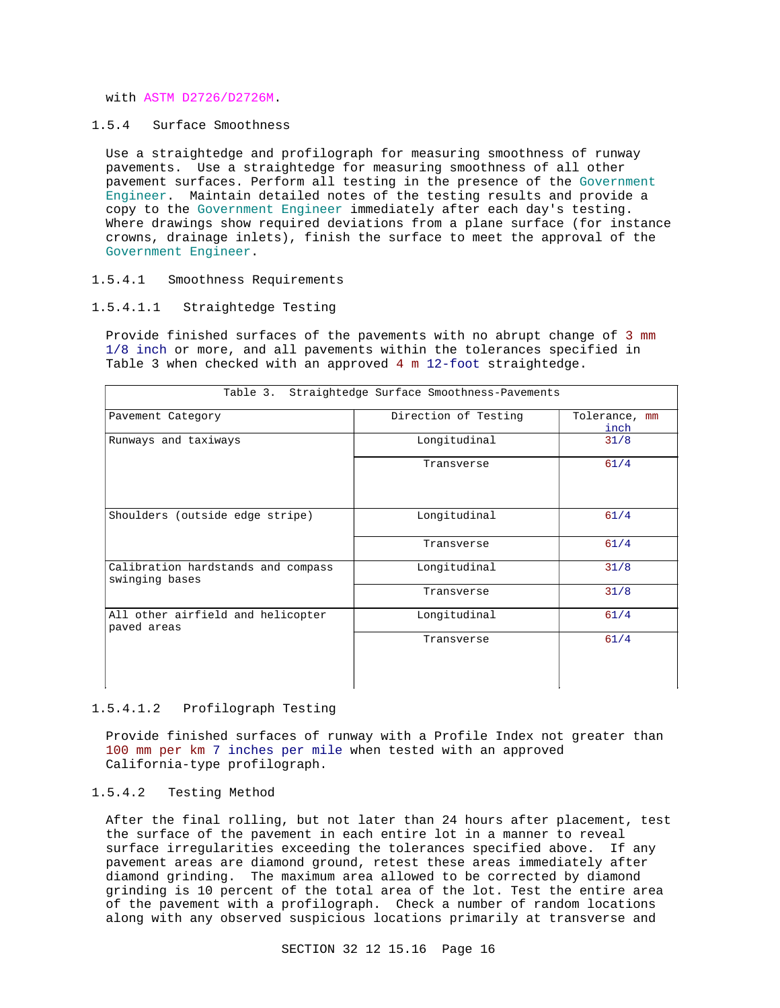with ASTM D2726/D2726M.

1.5.4 Surface Smoothness

Use a straightedge and profilograph for measuring smoothness of runway pavements. Use a straightedge for measuring smoothness of all other pavement surfaces. Perform all testing in the presence of the Government Engineer. Maintain detailed notes of the testing results and provide a copy to the Government Engineer immediately after each day's testing. Where drawings show required deviations from a plane surface (for instance crowns, drainage inlets), finish the surface to meet the approval of the Government Engineer.

# 1.5.4.1 Smoothness Requirements

# 1.5.4.1.1 Straightedge Testing

Provide finished surfaces of the pavements with no abrupt change of 3 mm 1/8 inch or more, and all pavements within the tolerances specified in Table 3 when checked with an approved 4 m 12-foot straightedge.

| Table 3. Straightedge Surface Smoothness-Pavements   |                      |                       |
|------------------------------------------------------|----------------------|-----------------------|
| Pavement Category                                    | Direction of Testing | Tolerance, mm<br>inch |
| Runways and taxiways                                 | Longitudinal         | 31/8                  |
|                                                      | Transverse           | 61/4                  |
| Shoulders (outside edge stripe)                      | Longitudinal         | 61/4                  |
|                                                      | Transverse           | 61/4                  |
| Calibration hardstands and compass<br>swinging bases | Longitudinal         | 31/8                  |
|                                                      | Transverse           | 31/8                  |
| All other airfield and helicopter<br>paved areas     | Longitudinal         | 61/4                  |
|                                                      | Transverse           | 61/4                  |

### 1.5.4.1.2 Profilograph Testing

Provide finished surfaces of runway with a Profile Index not greater than 100 mm per km 7 inches per mile when tested with an approved California-type profilograph.

# 1.5.4.2 Testing Method

After the final rolling, but not later than 24 hours after placement, test the surface of the pavement in each entire lot in a manner to reveal surface irregularities exceeding the tolerances specified above. If any pavement areas are diamond ground, retest these areas immediately after diamond grinding. The maximum area allowed to be corrected by diamond grinding is 10 percent of the total area of the lot. Test the entire area of the pavement with a profilograph. Check a number of random locations along with any observed suspicious locations primarily at transverse and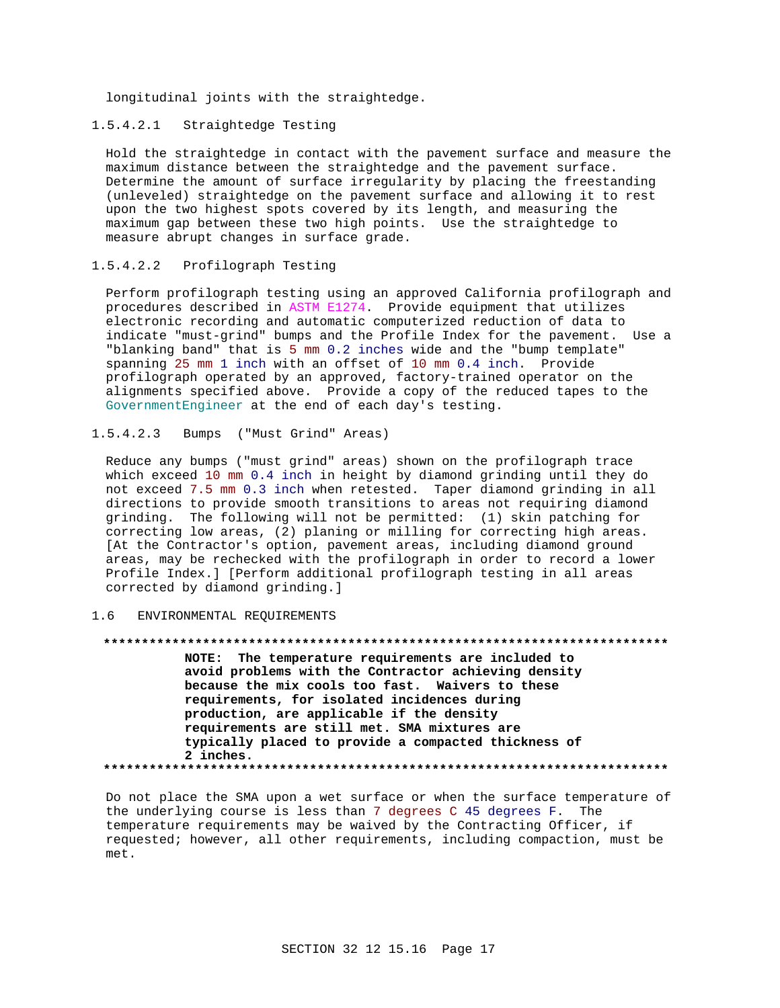longitudinal joints with the straightedge.

# 1.5.4.2.1 Straightedge Testing

Hold the straightedge in contact with the pavement surface and measure the maximum distance between the straightedge and the pavement surface. Determine the amount of surface irregularity by placing the freestanding (unleveled) straightedge on the pavement surface and allowing it to rest upon the two highest spots covered by its length, and measuring the maximum gap between these two high points. Use the straightedge to measure abrupt changes in surface grade.

# 1.5.4.2.2 Profilograph Testing

Perform profilograph testing using an approved California profilograph and procedures described in ASTM E1274. Provide equipment that utilizes electronic recording and automatic computerized reduction of data to indicate "must-grind" bumps and the Profile Index for the pavement. Use a "blanking band" that is 5 mm 0.2 inches wide and the "bump template" spanning 25 mm 1 inch with an offset of 10 mm 0.4 inch. Provide profilograph operated by an approved, factory-trained operator on the alignments specified above. Provide a copy of the reduced tapes to the GovernmentEngineer at the end of each day's testing.

# 1.5.4.2.3 Bumps ("Must Grind" Areas)

Reduce any bumps ("must grind" areas) shown on the profilograph trace which exceed 10 mm 0.4 inch in height by diamond grinding until they do not exceed 7.5 mm 0.3 inch when retested. Taper diamond grinding in all directions to provide smooth transitions to areas not requiring diamond grinding. The following will not be permitted: (1) skin patching for correcting low areas, (2) planing or milling for correcting high areas. [At the Contractor's option, pavement areas, including diamond ground areas, may be rechecked with the profilograph in order to record a lower Profile Index.] [Perform additional profilograph testing in all areas corrected by diamond grinding.]

# 1.6 ENVIRONMENTAL REQUIREMENTS

### **\*\*\*\*\*\*\*\*\*\*\*\*\*\*\*\*\*\*\*\*\*\*\*\*\*\*\*\*\*\*\*\*\*\*\*\*\*\*\*\*\*\*\*\*\*\*\*\*\*\*\*\*\*\*\*\*\*\*\*\*\*\*\*\*\*\*\*\*\*\*\*\*\*\***

**NOTE: The temperature requirements are included to avoid problems with the Contractor achieving density because the mix cools too fast. Waivers to these requirements, for isolated incidences during production, are applicable if the density requirements are still met. SMA mixtures are typically placed to provide a compacted thickness of 2 inches. \*\*\*\*\*\*\*\*\*\*\*\*\*\*\*\*\*\*\*\*\*\*\*\*\*\*\*\*\*\*\*\*\*\*\*\*\*\*\*\*\*\*\*\*\*\*\*\*\*\*\*\*\*\*\*\*\*\*\*\*\*\*\*\*\*\*\*\*\*\*\*\*\*\***

Do not place the SMA upon a wet surface or when the surface temperature of the underlying course is less than 7 degrees C 45 degrees F. The temperature requirements may be waived by the Contracting Officer, if requested; however, all other requirements, including compaction, must be met.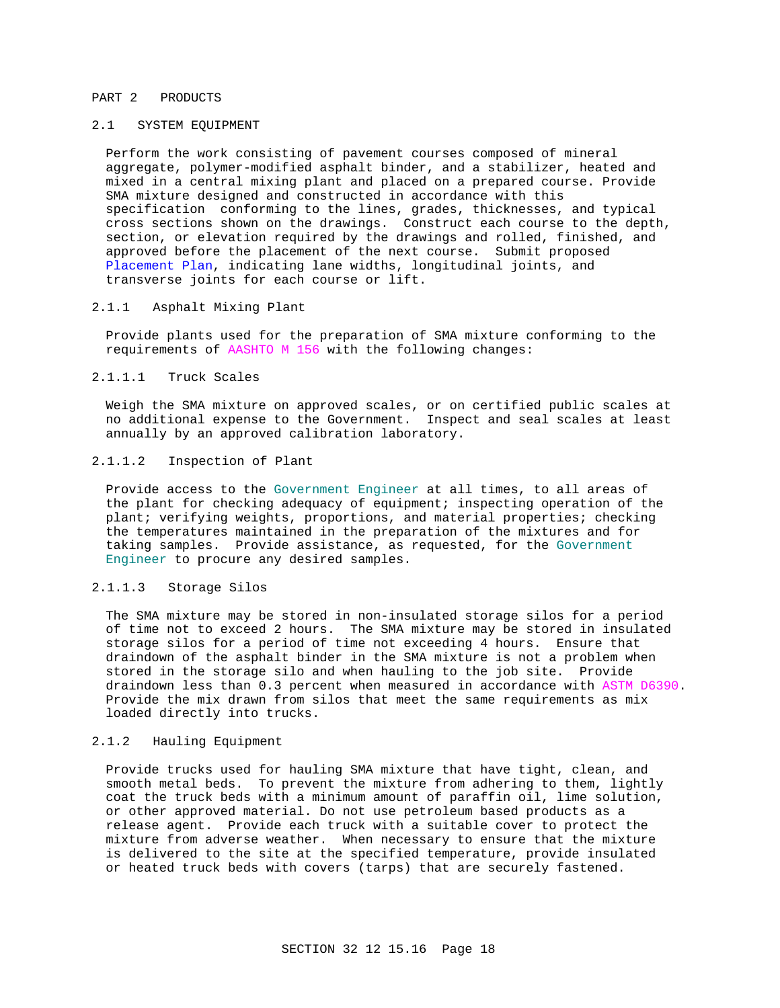# PART 2 PRODUCTS

# 2.1 SYSTEM EQUIPMENT

Perform the work consisting of pavement courses composed of mineral aggregate, polymer-modified asphalt binder, and a stabilizer, heated and mixed in a central mixing plant and placed on a prepared course. Provide SMA mixture designed and constructed in accordance with this specification conforming to the lines, grades, thicknesses, and typical cross sections shown on the drawings. Construct each course to the depth, section, or elevation required by the drawings and rolled, finished, and approved before the placement of the next course. Submit proposed Placement Plan, indicating lane widths, longitudinal joints, and transverse joints for each course or lift.

# 2.1.1 Asphalt Mixing Plant

Provide plants used for the preparation of SMA mixture conforming to the requirements of AASHTO M 156 with the following changes:

# 2.1.1.1 Truck Scales

Weigh the SMA mixture on approved scales, or on certified public scales at no additional expense to the Government. Inspect and seal scales at least annually by an approved calibration laboratory.

# 2.1.1.2 Inspection of Plant

Provide access to the Government Engineer at all times, to all areas of the plant for checking adequacy of equipment; inspecting operation of the plant; verifying weights, proportions, and material properties; checking the temperatures maintained in the preparation of the mixtures and for taking samples. Provide assistance, as requested, for the Government Engineer to procure any desired samples.

# 2.1.1.3 Storage Silos

The SMA mixture may be stored in non-insulated storage silos for a period of time not to exceed 2 hours. The SMA mixture may be stored in insulated storage silos for a period of time not exceeding 4 hours. Ensure that draindown of the asphalt binder in the SMA mixture is not a problem when stored in the storage silo and when hauling to the job site. Provide draindown less than 0.3 percent when measured in accordance with ASTM D6390. Provide the mix drawn from silos that meet the same requirements as mix loaded directly into trucks.

# 2.1.2 Hauling Equipment

Provide trucks used for hauling SMA mixture that have tight, clean, and smooth metal beds. To prevent the mixture from adhering to them, lightly coat the truck beds with a minimum amount of paraffin oil, lime solution, or other approved material. Do not use petroleum based products as a release agent. Provide each truck with a suitable cover to protect the mixture from adverse weather. When necessary to ensure that the mixture is delivered to the site at the specified temperature, provide insulated or heated truck beds with covers (tarps) that are securely fastened.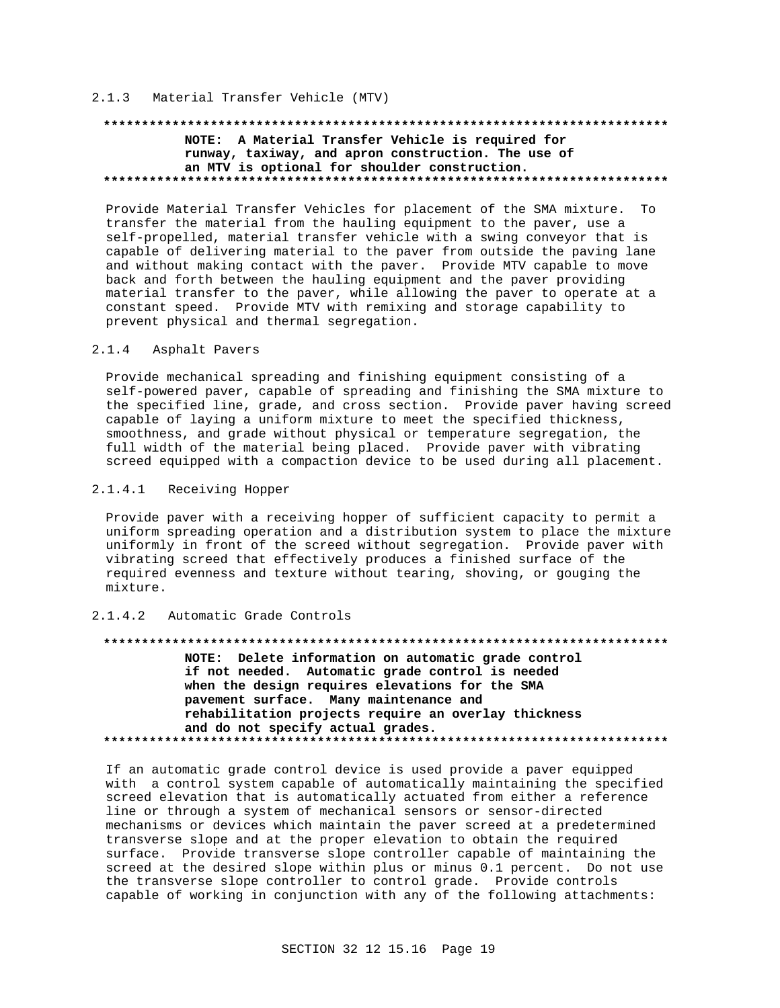# 2.1.3 Material Transfer Vehicle (MTV)

# **\*\*\*\*\*\*\*\*\*\*\*\*\*\*\*\*\*\*\*\*\*\*\*\*\*\*\*\*\*\*\*\*\*\*\*\*\*\*\*\*\*\*\*\*\*\*\*\*\*\*\*\*\*\*\*\*\*\*\*\*\*\*\*\*\*\*\*\*\*\*\*\*\*\* NOTE: A Material Transfer Vehicle is required for runway, taxiway, and apron construction. The use of an MTV is optional for shoulder construction. \*\*\*\*\*\*\*\*\*\*\*\*\*\*\*\*\*\*\*\*\*\*\*\*\*\*\*\*\*\*\*\*\*\*\*\*\*\*\*\*\*\*\*\*\*\*\*\*\*\*\*\*\*\*\*\*\*\*\*\*\*\*\*\*\*\*\*\*\*\*\*\*\*\***

Provide Material Transfer Vehicles for placement of the SMA mixture. To transfer the material from the hauling equipment to the paver, use a self-propelled, material transfer vehicle with a swing conveyor that is capable of delivering material to the paver from outside the paving lane and without making contact with the paver. Provide MTV capable to move back and forth between the hauling equipment and the paver providing material transfer to the paver, while allowing the paver to operate at a constant speed. Provide MTV with remixing and storage capability to prevent physical and thermal segregation.

# 2.1.4 Asphalt Pavers

Provide mechanical spreading and finishing equipment consisting of a self-powered paver, capable of spreading and finishing the SMA mixture to the specified line, grade, and cross section. Provide paver having screed capable of laying a uniform mixture to meet the specified thickness, smoothness, and grade without physical or temperature segregation, the full width of the material being placed. Provide paver with vibrating screed equipped with a compaction device to be used during all placement.

# 2.1.4.1 Receiving Hopper

Provide paver with a receiving hopper of sufficient capacity to permit a uniform spreading operation and a distribution system to place the mixture uniformly in front of the screed without segregation. Provide paver with vibrating screed that effectively produces a finished surface of the required evenness and texture without tearing, shoving, or gouging the mixture.

### 2.1.4.2 Automatic Grade Controls

# **\*\*\*\*\*\*\*\*\*\*\*\*\*\*\*\*\*\*\*\*\*\*\*\*\*\*\*\*\*\*\*\*\*\*\*\*\*\*\*\*\*\*\*\*\*\*\*\*\*\*\*\*\*\*\*\*\*\*\*\*\*\*\*\*\*\*\*\*\*\*\*\*\*\***

**NOTE: Delete information on automatic grade control if not needed. Automatic grade control is needed when the design requires elevations for the SMA pavement surface. Many maintenance and rehabilitation projects require an overlay thickness and do not specify actual grades. \*\*\*\*\*\*\*\*\*\*\*\*\*\*\*\*\*\*\*\*\*\*\*\*\*\*\*\*\*\*\*\*\*\*\*\*\*\*\*\*\*\*\*\*\*\*\*\*\*\*\*\*\*\*\*\*\*\*\*\*\*\*\*\*\*\*\*\*\*\*\*\*\*\***

If an automatic grade control device is used provide a paver equipped with a control system capable of automatically maintaining the specified screed elevation that is automatically actuated from either a reference line or through a system of mechanical sensors or sensor-directed mechanisms or devices which maintain the paver screed at a predetermined transverse slope and at the proper elevation to obtain the required surface. Provide transverse slope controller capable of maintaining the screed at the desired slope within plus or minus 0.1 percent. Do not use the transverse slope controller to control grade. Provide controls capable of working in conjunction with any of the following attachments: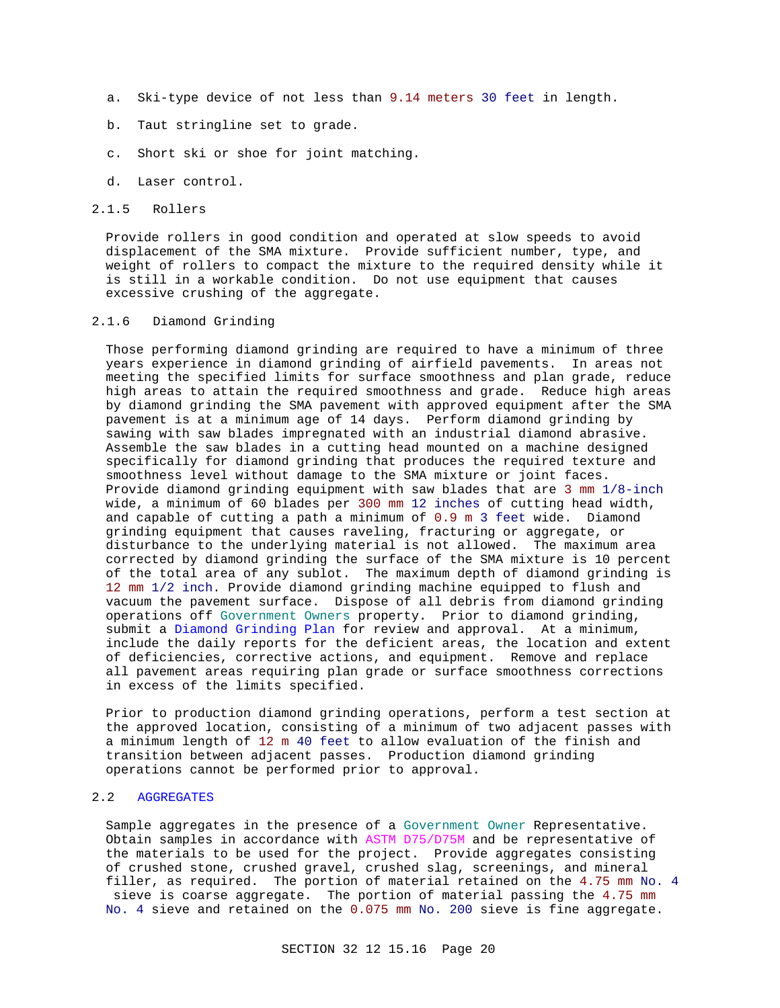- a. Ski-type device of not less than 9.14 meters 30 feet in length.
- b. Taut stringline set to grade.
- c. Short ski or shoe for joint matching.
- d. Laser control.
- 2.1.5 Rollers

Provide rollers in good condition and operated at slow speeds to avoid displacement of the SMA mixture. Provide sufficient number, type, and weight of rollers to compact the mixture to the required density while it is still in a workable condition. Do not use equipment that causes excessive crushing of the aggregate.

# 2.1.6 Diamond Grinding

Those performing diamond grinding are required to have a minimum of three years experience in diamond grinding of airfield pavements. In areas not meeting the specified limits for surface smoothness and plan grade, reduce high areas to attain the required smoothness and grade. Reduce high areas by diamond grinding the SMA pavement with approved equipment after the SMA pavement is at a minimum age of 14 days. Perform diamond grinding by sawing with saw blades impregnated with an industrial diamond abrasive. Assemble the saw blades in a cutting head mounted on a machine designed specifically for diamond grinding that produces the required texture and smoothness level without damage to the SMA mixture or joint faces. Provide diamond grinding equipment with saw blades that are 3 mm 1/8-inch wide, a minimum of 60 blades per 300 mm 12 inches of cutting head width, and capable of cutting a path a minimum of 0.9 m 3 feet wide. Diamond grinding equipment that causes raveling, fracturing or aggregate, or disturbance to the underlying material is not allowed. The maximum area corrected by diamond grinding the surface of the SMA mixture is 10 percent of the total area of any sublot. The maximum depth of diamond grinding is 12 mm 1/2 inch. Provide diamond grinding machine equipped to flush and vacuum the pavement surface. Dispose of all debris from diamond grinding operations off Government Owners property. Prior to diamond grinding, submit a Diamond Grinding Plan for review and approval. At a minimum, include the daily reports for the deficient areas, the location and extent of deficiencies, corrective actions, and equipment. Remove and replace all pavement areas requiring plan grade or surface smoothness corrections in excess of the limits specified.

Prior to production diamond grinding operations, perform a test section at the approved location, consisting of a minimum of two adjacent passes with a minimum length of 12 m 40 feet to allow evaluation of the finish and transition between adjacent passes. Production diamond grinding operations cannot be performed prior to approval.

# 2.2 AGGREGATES

Sample aggregates in the presence of a Government Owner Representative. Obtain samples in accordance with ASTM D75/D75M and be representative of the materials to be used for the project. Provide aggregates consisting of crushed stone, crushed gravel, crushed slag, screenings, and mineral filler, as required. The portion of material retained on the 4.75 mm No. 4 sieve is coarse aggregate. The portion of material passing the 4.75 mm No. 4 sieve and retained on the 0.075 mm No. 200 sieve is fine aggregate.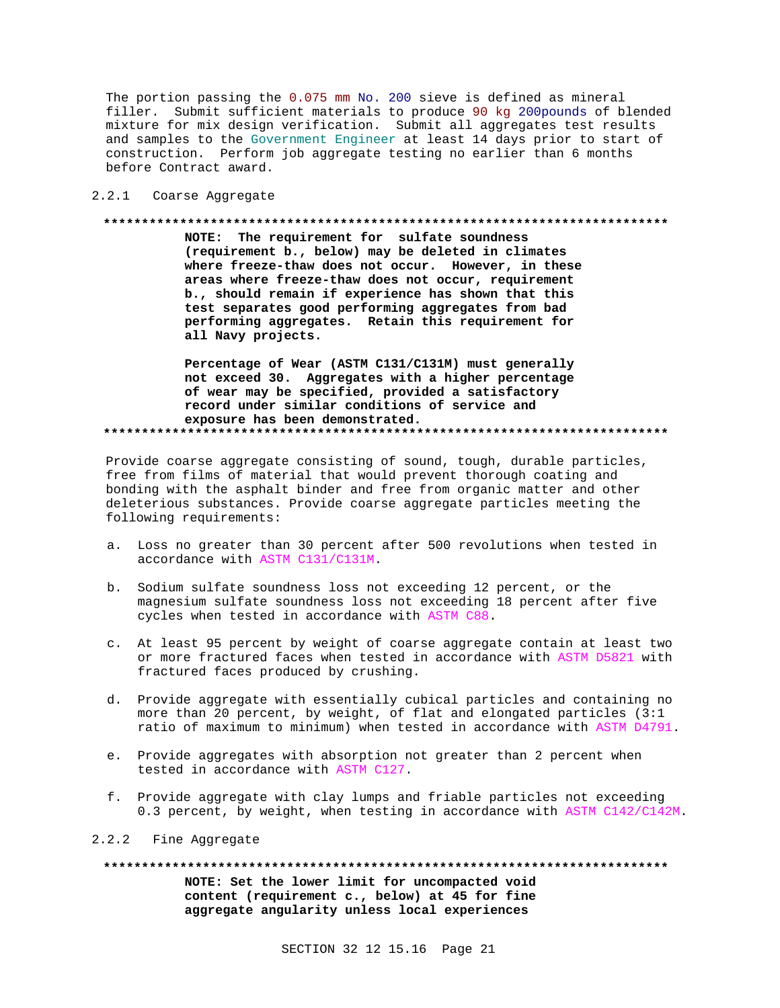The portion passing the 0.075 mm No. 200 sieve is defined as mineral filler. Submit sufficient materials to produce 90 kg 200pounds of blended mixture for mix design verification. Submit all aggregates test results and samples to the Government Engineer at least 14 days prior to start of construction. Perform job aggregate testing no earlier than 6 months before Contract award.

2.2.1 Coarse Aggregate

### 

NOTE: The requirement for sulfate soundness (requirement b., below) may be deleted in climates where freeze-thaw does not occur. However, in these areas where freeze-thaw does not occur, requirement b., should remain if experience has shown that this test separates good performing aggregates from bad performing aggregates. Retain this requirement for all Navy projects.

Percentage of Wear (ASTM C131/C131M) must generally not exceed 30. Aggregates with a higher percentage of wear may be specified, provided a satisfactory record under similar conditions of service and exposure has been demonstrated. 

Provide coarse aggregate consisting of sound, tough, durable particles, free from films of material that would prevent thorough coating and bonding with the asphalt binder and free from organic matter and other deleterious substances. Provide coarse aggregate particles meeting the following requirements:

- a. Loss no greater than 30 percent after 500 revolutions when tested in accordance with ASTM C131/C131M.
- b. Sodium sulfate soundness loss not exceeding 12 percent, or the magnesium sulfate soundness loss not exceeding 18 percent after five cycles when tested in accordance with ASTM C88.
- c. At least 95 percent by weight of coarse aggregate contain at least two or more fractured faces when tested in accordance with ASTM D5821 with fractured faces produced by crushing.
- d. Provide aggregate with essentially cubical particles and containing no more than 20 percent, by weight, of flat and elongated particles (3:1 ratio of maximum to minimum) when tested in accordance with ASTM D4791.
- e. Provide aggregates with absorption not greater than 2 percent when tested in accordance with ASTM C127.
- f. Provide aggregate with clay lumps and friable particles not exceeding 0.3 percent, by weight, when testing in accordance with ASTM C142/C142M.

# 2.2.2 Fine Aggregate

NOTE: Set the lower limit for uncompacted void content (requirement c., below) at 45 for fine aggregate angularity unless local experiences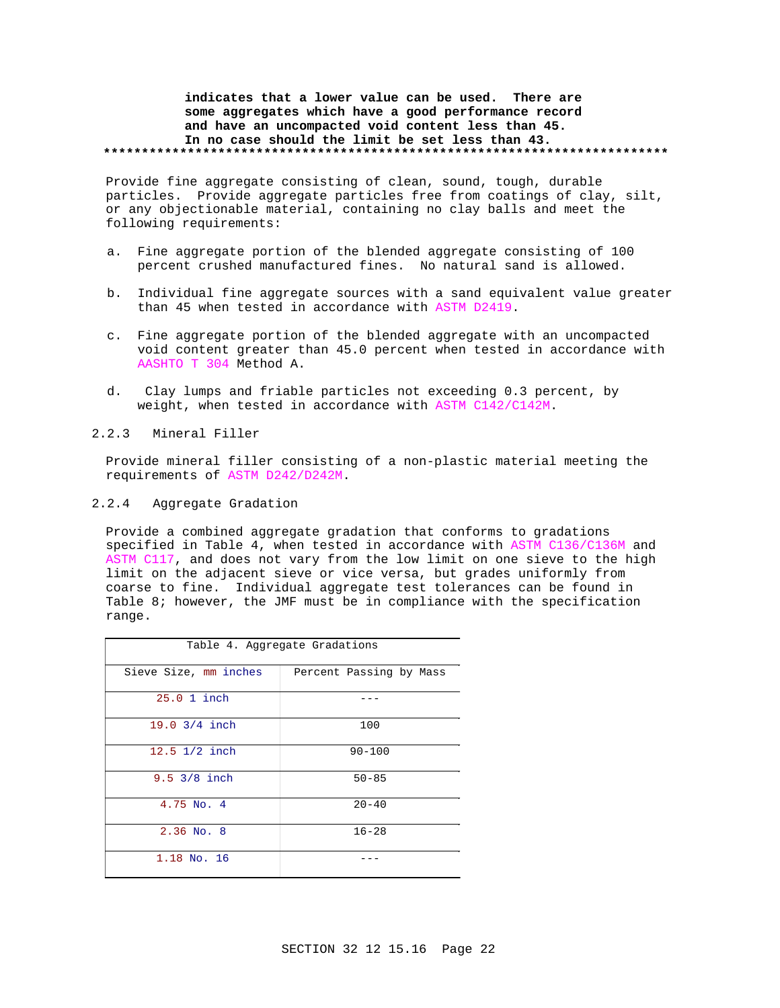# **indicates that a lower value can be used. There are some aggregates which have a good performance record and have an uncompacted void content less than 45. In no case should the limit be set less than 43. \*\*\*\*\*\*\*\*\*\*\*\*\*\*\*\*\*\*\*\*\*\*\*\*\*\*\*\*\*\*\*\*\*\*\*\*\*\*\*\*\*\*\*\*\*\*\*\*\*\*\*\*\*\*\*\*\*\*\*\*\*\*\*\*\*\*\*\*\*\*\*\*\*\***

Provide fine aggregate consisting of clean, sound, tough, durable particles. Provide aggregate particles free from coatings of clay, silt, or any objectionable material, containing no clay balls and meet the following requirements:

- a. Fine aggregate portion of the blended aggregate consisting of 100 percent crushed manufactured fines. No natural sand is allowed.
- b. Individual fine aggregate sources with a sand equivalent value greater than 45 when tested in accordance with ASTM D2419.
- c. Fine aggregate portion of the blended aggregate with an uncompacted void content greater than 45.0 percent when tested in accordance with AASHTO T 304 Method A.
- d. Clay lumps and friable particles not exceeding 0.3 percent, by weight, when tested in accordance with ASTM C142/C142M.
- 2.2.3 Mineral Filler

Provide mineral filler consisting of a non-plastic material meeting the requirements of ASTM D242/D242M.

2.2.4 Aggregate Gradation

Provide a combined aggregate gradation that conforms to gradations specified in Table 4, when tested in accordance with ASTM C136/C136M and ASTM C117, and does not vary from the low limit on one sieve to the high limit on the adjacent sieve or vice versa, but grades uniformly from coarse to fine. Individual aggregate test tolerances can be found in Table 8; however, the JMF must be in compliance with the specification range.

| Table 4. Aggregate Gradations |                         |  |
|-------------------------------|-------------------------|--|
| Sieve Size, mm inches         | Percent Passing by Mass |  |
| 25.0 1 inch                   |                         |  |
| 19.0 3/4 inch                 | 100                     |  |
| 12.5 1/2 inch                 | $90 - 100$              |  |
| 9.5 3/8 inch                  | $50 - 85$               |  |
| $4.75$ No. $4$                | $20 - 40$               |  |
| $2.36$ No. 8                  | $16 - 28$               |  |
| 1.18 No. 16                   |                         |  |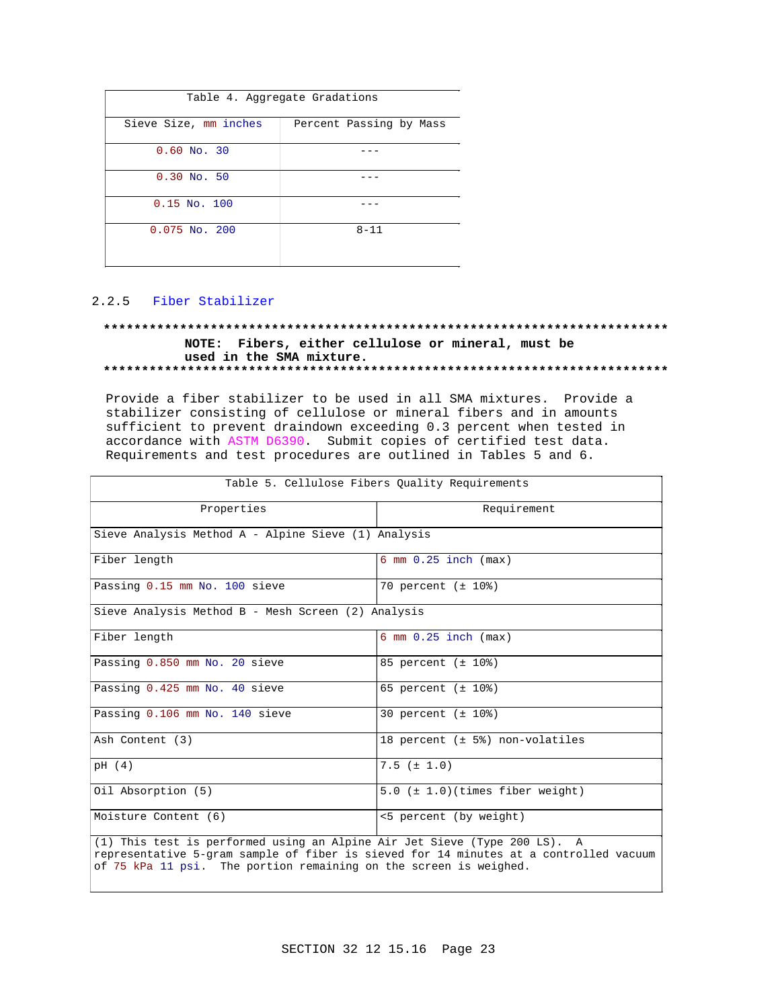| Table 4. Aggregate Gradations |                         |  |
|-------------------------------|-------------------------|--|
| Sieve Size, mm inches         | Percent Passing by Mass |  |
| $0.60$ No. 30                 |                         |  |
| $0.30$ No. 50                 |                         |  |
| $0.15$ No. $100$              |                         |  |
| $0.075$ No. 200               | $8 - 11$                |  |

# 2.2.5 Fiber Stabilizer

# **\*\*\*\*\*\*\*\*\*\*\*\*\*\*\*\*\*\*\*\*\*\*\*\*\*\*\*\*\*\*\*\*\*\*\*\*\*\*\*\*\*\*\*\*\*\*\*\*\*\*\*\*\*\*\*\*\*\*\*\*\*\*\*\*\*\*\*\*\*\*\*\*\*\* NOTE: Fibers, either cellulose or mineral, must be used in the SMA mixture. \*\*\*\*\*\*\*\*\*\*\*\*\*\*\*\*\*\*\*\*\*\*\*\*\*\*\*\*\*\*\*\*\*\*\*\*\*\*\*\*\*\*\*\*\*\*\*\*\*\*\*\*\*\*\*\*\*\*\*\*\*\*\*\*\*\*\*\*\*\*\*\*\*\***

Provide a fiber stabilizer to be used in all SMA mixtures. Provide a stabilizer consisting of cellulose or mineral fibers and in amounts sufficient to prevent draindown exceeding 0.3 percent when tested in accordance with ASTM D6390. Submit copies of certified test data. Requirements and test procedures are outlined in Tables 5 and 6.

| Table 5. Cellulose Fibers Quality Requirements                                                                                                                                                                                          |                                          |  |
|-----------------------------------------------------------------------------------------------------------------------------------------------------------------------------------------------------------------------------------------|------------------------------------------|--|
| Properties                                                                                                                                                                                                                              | Requirement                              |  |
| Sieve Analysis Method A - Alpine Sieve (1) Analysis                                                                                                                                                                                     |                                          |  |
| Fiber length                                                                                                                                                                                                                            | $6 \text{ mm } 0.25 \text{ inch } (max)$ |  |
| Passing 0.15 mm No. 100 sieve                                                                                                                                                                                                           | 70 percent (± 10%)                       |  |
| Sieve Analysis Method B - Mesh Screen (2) Analysis                                                                                                                                                                                      |                                          |  |
| Fiber length                                                                                                                                                                                                                            | $6 \text{ mm } 0.25 \text{ inch } (max)$ |  |
| Passing 0.850 mm No. 20 sieve                                                                                                                                                                                                           | 85 percent (± 10%)                       |  |
| Passing 0.425 mm No. 40 sieve                                                                                                                                                                                                           | 65 percent $(\pm 10\%)$                  |  |
| Passing 0.106 mm No. 140 sieve                                                                                                                                                                                                          | $30$ percent $(\pm 10\%)$                |  |
| Ash Content (3)                                                                                                                                                                                                                         | 18 percent $(t + 5)$ non-volatiles       |  |
| pH (4)                                                                                                                                                                                                                                  | $7.5$ ( $\pm$ 1.0)                       |  |
| Oil Absorption (5)                                                                                                                                                                                                                      | $5.0$ ( $\pm$ 1.0)(times fiber weight)   |  |
| Moisture Content (6)                                                                                                                                                                                                                    | <5 percent (by weight)                   |  |
| (1) This test is performed using an Alpine Air Jet Sieve (Type 200 LS). A<br>representative 5-gram sample of fiber is sieved for 14 minutes at a controlled vacuum<br>of 75 kPa 11 psi. The portion remaining on the screen is weighed. |                                          |  |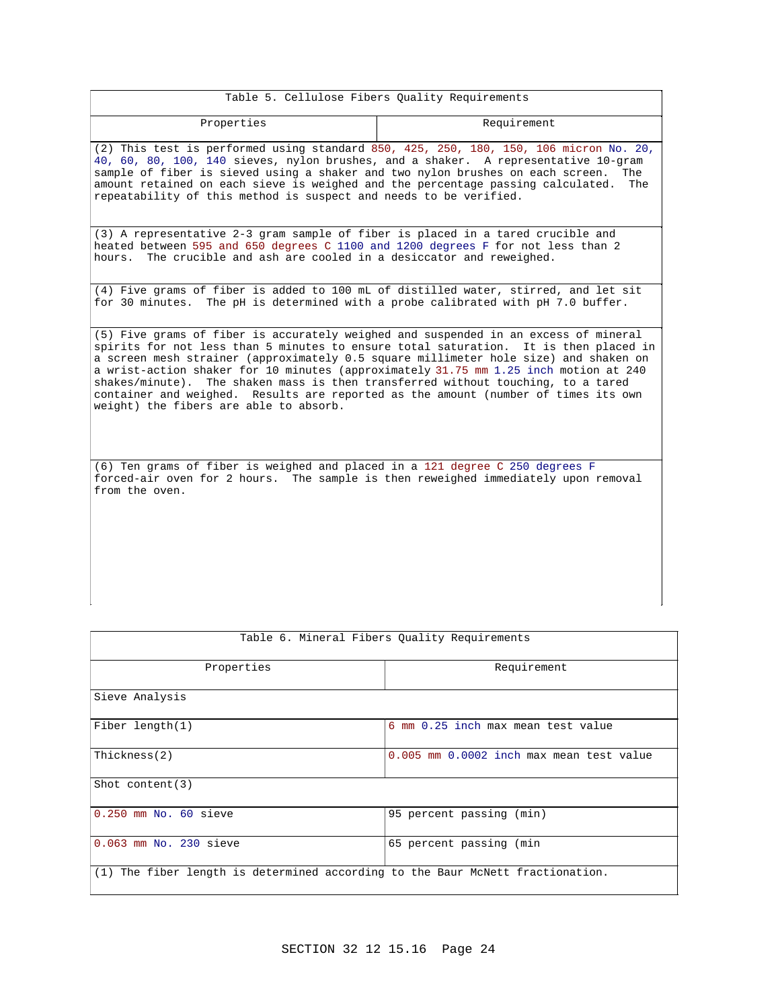| Table 5. Cellulose Fibers Quality Requirements                                                                                                                                                                                                                                                                                                                                                                                                                                                                                                                                  |             |  |
|---------------------------------------------------------------------------------------------------------------------------------------------------------------------------------------------------------------------------------------------------------------------------------------------------------------------------------------------------------------------------------------------------------------------------------------------------------------------------------------------------------------------------------------------------------------------------------|-------------|--|
| Properties                                                                                                                                                                                                                                                                                                                                                                                                                                                                                                                                                                      | Requirement |  |
| (2) This test is performed using standard 850, 425, 250, 180, 150, 106 micron No. 20,<br>40, 60, 80, 100, 140 sieves, nylon brushes, and a shaker. A representative 10-gram<br>sample of fiber is sieved using a shaker and two nylon brushes on each screen.<br>The<br>amount retained on each sieve is weighed and the percentage passing calculated.<br>The<br>repeatability of this method is suspect and needs to be verified.                                                                                                                                             |             |  |
| (3) A representative 2-3 gram sample of fiber is placed in a tared crucible and<br>heated between 595 and 650 degrees C 1100 and 1200 degrees F for not less than 2<br>The crucible and ash are cooled in a desiccator and reweighed.<br>hours.                                                                                                                                                                                                                                                                                                                                 |             |  |
| (4) Five grams of fiber is added to 100 mL of distilled water, stirred, and let sit<br>for 30 minutes. The pH is determined with a probe calibrated with pH 7.0 buffer.                                                                                                                                                                                                                                                                                                                                                                                                         |             |  |
| (5) Five grams of fiber is accurately weighed and suspended in an excess of mineral<br>spirits for not less than 5 minutes to ensure total saturation. It is then placed in<br>a screen mesh strainer (approximately 0.5 square millimeter hole size) and shaken on<br>a wrist-action shaker for 10 minutes (approximately 31.75 mm 1.25 inch motion at 240<br>shakes/minute). The shaken mass is then transferred without touching, to a tared<br>container and weighed. Results are reported as the amount (number of times its own<br>weight) the fibers are able to absorb. |             |  |
| (6) Ten grams of fiber is weighed and placed in a 121 degree C 250 degrees F<br>forced-air oven for 2 hours. The sample is then reweighed immediately upon removal<br>from the oven.                                                                                                                                                                                                                                                                                                                                                                                            |             |  |

|                                                                                | Table 6. Mineral Fibers Quality Requirements |
|--------------------------------------------------------------------------------|----------------------------------------------|
| Properties                                                                     | Requirement                                  |
| Sieve Analysis                                                                 |                                              |
| Fiber length $(1)$                                                             | 6 mm 0.25 inch max mean test value           |
| Thickness(2)                                                                   | 0.005 mm 0.0002 inch max mean test value     |
| Shot content $(3)$                                                             |                                              |
| $0.250$ mm No. $60$ sieve                                                      | 95 percent passing (min)                     |
| 0.063 mm No. 230 sieve                                                         | 65 percent passing (min                      |
| (1) The fiber length is determined according to the Baur McNett fractionation. |                                              |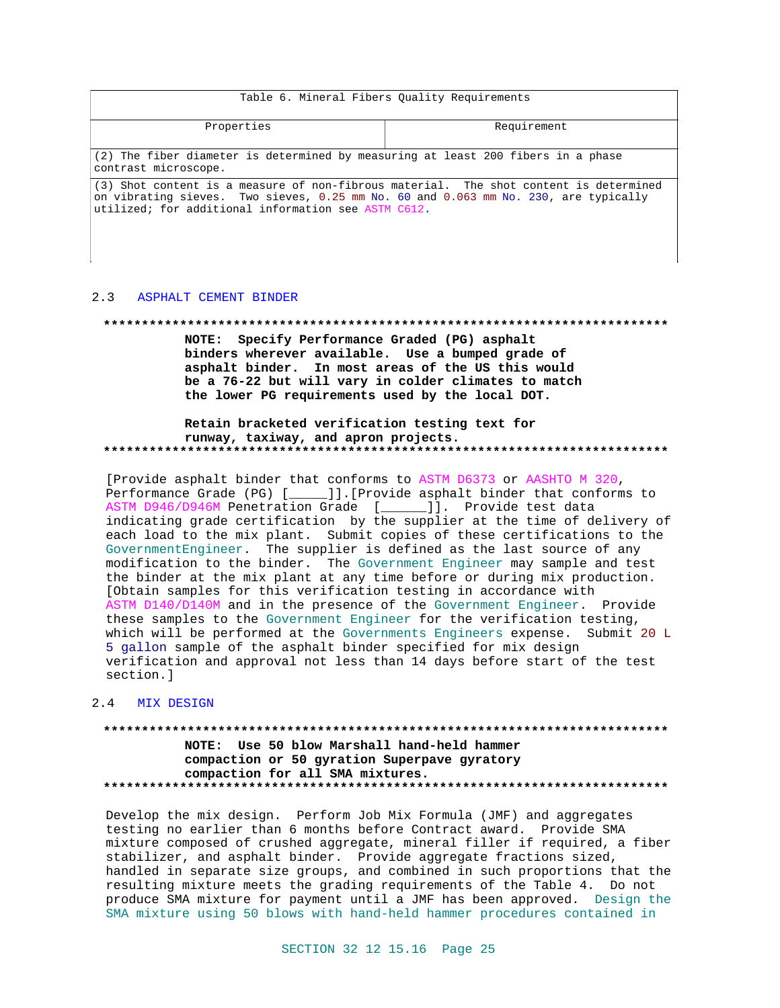| Table 6. Mineral Fibers Quality Requirements                                                                                                                                                                                        |             |  |
|-------------------------------------------------------------------------------------------------------------------------------------------------------------------------------------------------------------------------------------|-------------|--|
| Properties                                                                                                                                                                                                                          | Requirement |  |
| (2) The fiber diameter is determined by measuring at least 200 fibers in a phase<br>contrast microscope.                                                                                                                            |             |  |
| (3) Shot content is a measure of non-fibrous material. The shot content is determined<br>on vibrating sieves. Two sieves, 0.25 mm No. 60 and 0.063 mm No. 230, are typically<br>utilized; for additional information see ASTM C612. |             |  |

#### $2.3$ ASPHALT CEMENT BINDER

 $\overline{\phantom{a}}$ 

#### 

 $\overline{\phantom{a}}$ 

NOTE: Specify Performance Graded (PG) asphalt binders wherever available. Use a bumped grade of asphalt binder. In most areas of the US this would be a 76-22 but will vary in colder climates to match the lower PG requirements used by the local DOT.

# Retain bracketed verification testing text for runway, taxiway, and apron projects.

[Provide asphalt binder that conforms to ASTM D6373 or AASHTO M 320, Performance Grade (PG) [ ]]. [Provide asphalt binder that conforms to ASTM D946/D946M Penetration Grade [\_\_\_\_\_]]. Provide test data indicating grade certification by the supplier at the time of delivery of each load to the mix plant. Submit copies of these certifications to the GovernmentEngineer. The supplier is defined as the last source of any modification to the binder. The Government Engineer may sample and test the binder at the mix plant at any time before or during mix production. [Obtain samples for this verification testing in accordance with ASTM D140/D140M and in the presence of the Government Engineer. Provide these samples to the Government Engineer for the verification testing, which will be performed at the Governments Engineers expense. Submit 20 L 5 gallon sample of the asphalt binder specified for mix design verification and approval not less than 14 days before start of the test section.]

# 2.4 MIX DESIGN

NOTE: Use 50 blow Marshall hand-held hammer compaction or 50 gyration Superpave gyratory compaction for all SMA mixtures. 

Develop the mix design. Perform Job Mix Formula (JMF) and aggregates testing no earlier than 6 months before Contract award. Provide SMA mixture composed of crushed aggregate, mineral filler if required, a fiber stabilizer, and asphalt binder. Provide aggregate fractions sized, handled in separate size groups, and combined in such proportions that the resulting mixture meets the grading requirements of the Table 4. Do not produce SMA mixture for payment until a JMF has been approved. Design the SMA mixture using 50 blows with hand-held hammer procedures contained in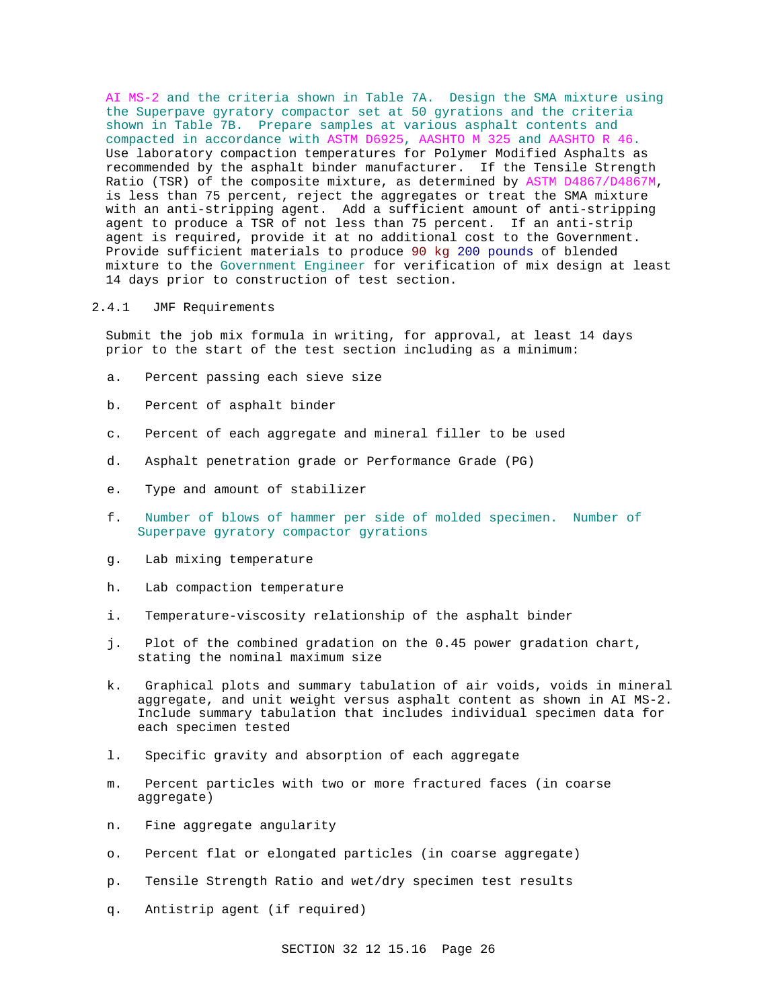AI MS-2 and the criteria shown in Table 7A. Design the SMA mixture using the Superpave gyratory compactor set at 50 gyrations and the criteria shown in Table 7B. Prepare samples at various asphalt contents and compacted in accordance with ASTM D6925, AASHTO M 325 and AASHTO R 46. Use laboratory compaction temperatures for Polymer Modified Asphalts as recommended by the asphalt binder manufacturer. If the Tensile Strength Ratio (TSR) of the composite mixture, as determined by ASTM D4867/D4867M, is less than 75 percent, reject the aggregates or treat the SMA mixture with an anti-stripping agent. Add a sufficient amount of anti-stripping agent to produce a TSR of not less than 75 percent. If an anti-strip agent is required, provide it at no additional cost to the Government. Provide sufficient materials to produce 90 kg 200 pounds of blended mixture to the Government Engineer for verification of mix design at least 14 days prior to construction of test section.

# 2.4.1 JMF Requirements

Submit the job mix formula in writing, for approval, at least 14 days prior to the start of the test section including as a minimum:

- a. Percent passing each sieve size
- b. Percent of asphalt binder
- c. Percent of each aggregate and mineral filler to be used
- d. Asphalt penetration grade or Performance Grade (PG)
- e. Type and amount of stabilizer
- f. Number of blows of hammer per side of molded specimen. Number of Superpave gyratory compactor gyrations
- g. Lab mixing temperature
- h. Lab compaction temperature
- i. Temperature-viscosity relationship of the asphalt binder
- j. Plot of the combined gradation on the 0.45 power gradation chart, stating the nominal maximum size
- k. Graphical plots and summary tabulation of air voids, voids in mineral aggregate, and unit weight versus asphalt content as shown in AI MS-2. Include summary tabulation that includes individual specimen data for each specimen tested
- l. Specific gravity and absorption of each aggregate
- m. Percent particles with two or more fractured faces (in coarse aggregate)
- n. Fine aggregate angularity
- o. Percent flat or elongated particles (in coarse aggregate)
- p. Tensile Strength Ratio and wet/dry specimen test results
- q. Antistrip agent (if required)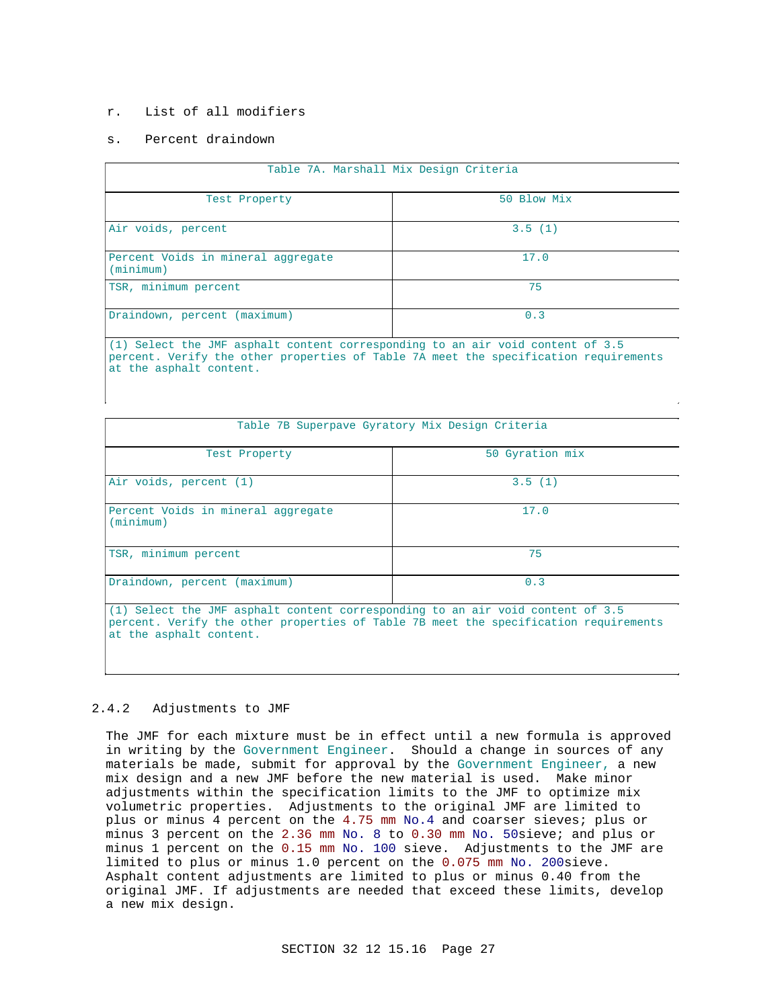# r. List of all modifiers

# s. Percent draindown

| Table 7A. Marshall Mix Design Criteria                                         |             |  |  |
|--------------------------------------------------------------------------------|-------------|--|--|
| Test Property                                                                  | 50 Blow Mix |  |  |
| Air voids, percent                                                             | 3.5(1)      |  |  |
| Percent Voids in mineral aggregate<br>(minimum)                                | 17.0        |  |  |
| TSR, minimum percent                                                           | 75          |  |  |
| Draindown, percent (maximum)                                                   | 0.3         |  |  |
| (1) Select the JMF asphalt content corresponding to an air void content of 3.5 |             |  |  |

percent. Verify the other properties of Table 7A meet the specification requirements at the asphalt content.

| Table 7B Superpave Gyratory Mix Design Criteria                                |                 |  |
|--------------------------------------------------------------------------------|-----------------|--|
| Test Property                                                                  | 50 Gyration mix |  |
| Air voids, percent (1)                                                         | 3.5(1)          |  |
| Percent Voids in mineral aggregate<br>(minimum)                                | 17.0            |  |
| TSR, minimum percent                                                           | 75              |  |
| Draindown, percent (maximum)                                                   | 0.3             |  |
| (1) Select the JMF asphalt content corresponding to an air void content of 3.5 |                 |  |

percent. Verify the other properties of Table 7B meet the specification requirements at the asphalt content.

# 2.4.2 Adjustments to JMF

The JMF for each mixture must be in effect until a new formula is approved in writing by the Government Engineer. Should a change in sources of any materials be made, submit for approval by the Government Engineer, a new mix design and a new JMF before the new material is used. Make minor adjustments within the specification limits to the JMF to optimize mix volumetric properties. Adjustments to the original JMF are limited to plus or minus 4 percent on the 4.75 mm No.4 and coarser sieves; plus or minus 3 percent on the 2.36 mm No. 8 to 0.30 mm No. 50sieve; and plus or minus 1 percent on the 0.15 mm No. 100 sieve. Adjustments to the JMF are limited to plus or minus 1.0 percent on the 0.075 mm No. 200sieve. Asphalt content adjustments are limited to plus or minus 0.40 from the original JMF. If adjustments are needed that exceed these limits, develop a new mix design.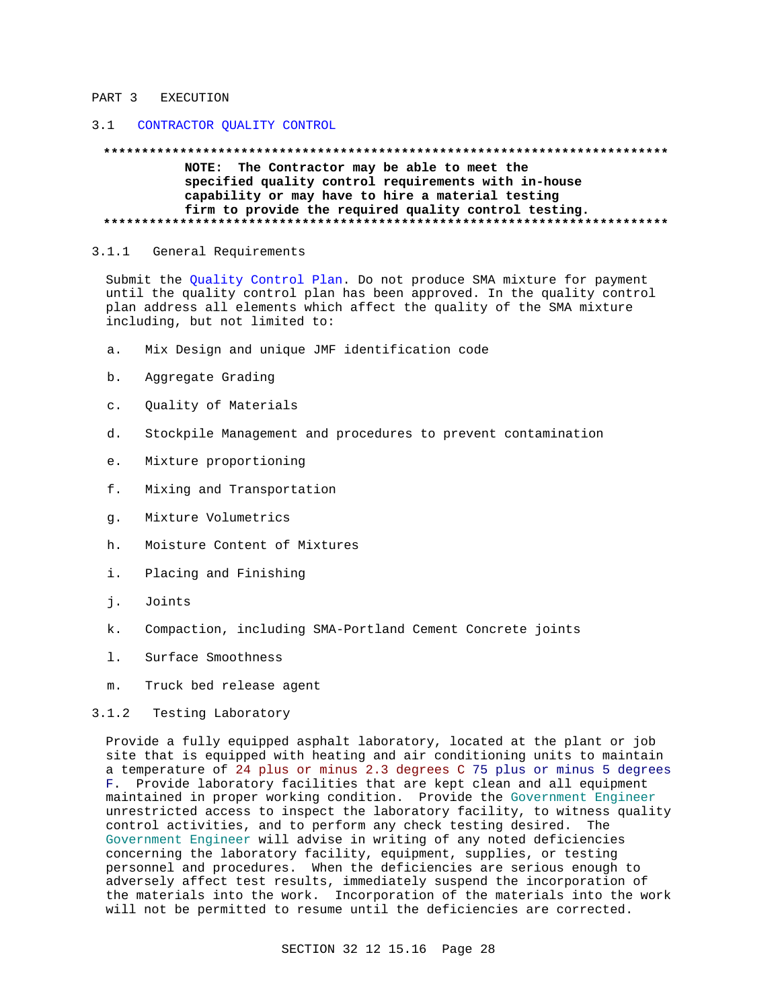### PART 3 EXECUTION

# 3.1 CONTRACTOR QUALITY CONTROL

### \*\*\*\*\*\*\*\*\*\*\*\*\*\*\*\*\*\*\*\*\*\* NOTE: The Contractor may be able to meet the specified quality control requirements with in-house capability or may have to hire a material testing firm to provide the required quality control testing.

#### $3.1.1$ General Requirements

Submit the Quality Control Plan. Do not produce SMA mixture for payment until the quality control plan has been approved. In the quality control plan address all elements which affect the quality of the SMA mixture including, but not limited to:

- Mix Design and unique JMF identification code  $a.$
- b. Aggregate Grading
- $\mathbf{c}$ . Quality of Materials
- d. Stockpile Management and procedures to prevent contamination
- Mixture proportioning e.
- f. Mixing and Transportation
- Mixture Volumetrics  $q<sub>1</sub>$
- Moisture Content of Mixtures h.
- i. Placing and Finishing
- i. Joints
- Compaction, including SMA-Portland Cement Concrete joints k.
- $1.$ Surface Smoothness
- Truck bed release agent  $m$ .

#### $3.1.2$ Testing Laboratory

Provide a fully equipped asphalt laboratory, located at the plant or job site that is equipped with heating and air conditioning units to maintain a temperature of 24 plus or minus 2.3 degrees C 75 plus or minus 5 degrees F. Provide laboratory facilities that are kept clean and all equipment maintained in proper working condition. Provide the Government Engineer unrestricted access to inspect the laboratory facility, to witness quality control activities, and to perform any check testing desired. The Government Engineer will advise in writing of any noted deficiencies concerning the laboratory facility, equipment, supplies, or testing personnel and procedures. When the deficiencies are serious enough to adversely affect test results, immediately suspend the incorporation of the materials into the work. Incorporation of the materials into the work will not be permitted to resume until the deficiencies are corrected.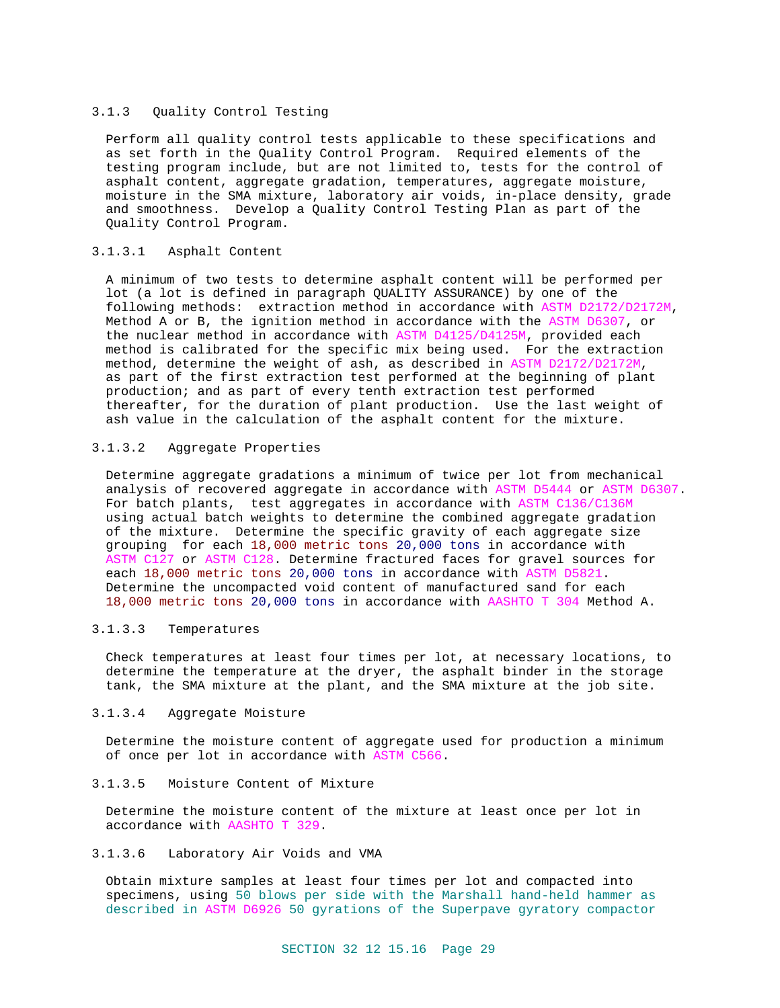# 3.1.3 Quality Control Testing

Perform all quality control tests applicable to these specifications and as set forth in the Quality Control Program. Required elements of the testing program include, but are not limited to, tests for the control of asphalt content, aggregate gradation, temperatures, aggregate moisture, moisture in the SMA mixture, laboratory air voids, in-place density, grade and smoothness. Develop a Quality Control Testing Plan as part of the Quality Control Program.

# 3.1.3.1 Asphalt Content

A minimum of two tests to determine asphalt content will be performed per lot (a lot is defined in paragraph QUALITY ASSURANCE) by one of the following methods: extraction method in accordance with ASTM D2172/D2172M, Method A or B, the ignition method in accordance with the ASTM D6307, or the nuclear method in accordance with ASTM D4125/D4125M, provided each method is calibrated for the specific mix being used. For the extraction method, determine the weight of ash, as described in ASTM D2172/D2172M, as part of the first extraction test performed at the beginning of plant production; and as part of every tenth extraction test performed thereafter, for the duration of plant production. Use the last weight of ash value in the calculation of the asphalt content for the mixture.

# 3.1.3.2 Aggregate Properties

Determine aggregate gradations a minimum of twice per lot from mechanical analysis of recovered aggregate in accordance with ASTM D5444 or ASTM D6307. For batch plants, test aggregates in accordance with ASTM C136/C136M using actual batch weights to determine the combined aggregate gradation of the mixture. Determine the specific gravity of each aggregate size grouping for each 18,000 metric tons 20,000 tons in accordance with ASTM C127 or ASTM C128. Determine fractured faces for gravel sources for each 18,000 metric tons 20,000 tons in accordance with ASTM D5821. Determine the uncompacted void content of manufactured sand for each 18,000 metric tons 20,000 tons in accordance with AASHTO T 304 Method A.

# 3.1.3.3 Temperatures

Check temperatures at least four times per lot, at necessary locations, to determine the temperature at the dryer, the asphalt binder in the storage tank, the SMA mixture at the plant, and the SMA mixture at the job site.

# 3.1.3.4 Aggregate Moisture

Determine the moisture content of aggregate used for production a minimum of once per lot in accordance with ASTM C566.

# 3.1.3.5 Moisture Content of Mixture

Determine the moisture content of the mixture at least once per lot in accordance with AASHTO T 329.

# 3.1.3.6 Laboratory Air Voids and VMA

Obtain mixture samples at least four times per lot and compacted into specimens, using 50 blows per side with the Marshall hand-held hammer as described in ASTM D6926 50 gyrations of the Superpave gyratory compactor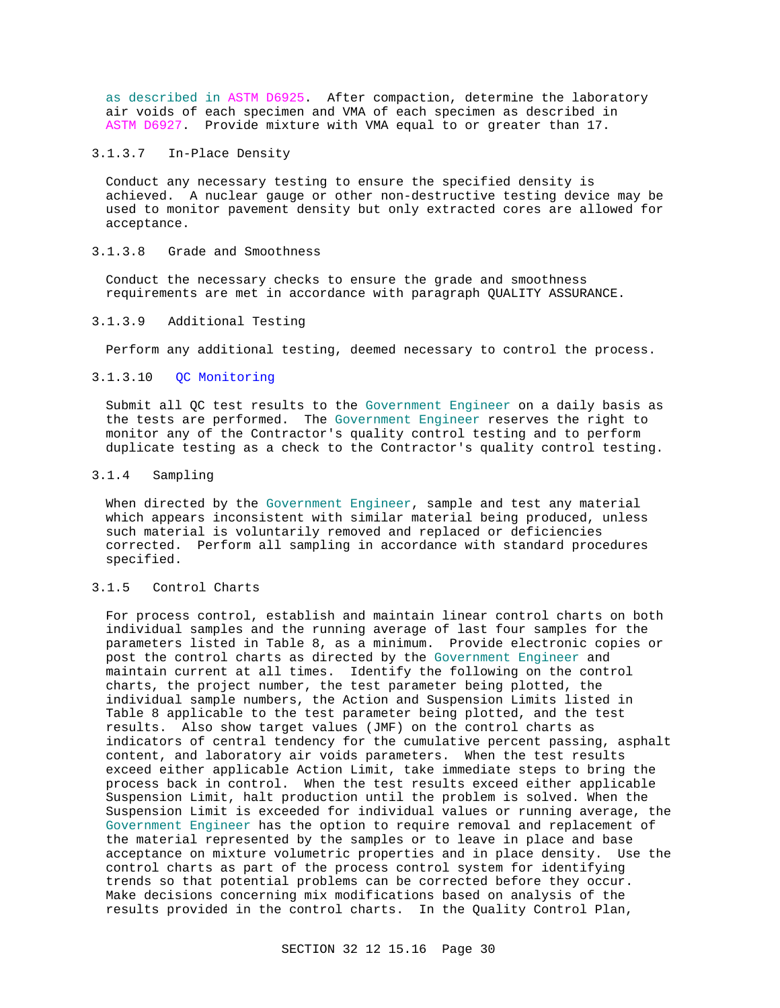as described in ASTM D6925. After compaction, determine the laboratory air voids of each specimen and VMA of each specimen as described in ASTM D6927. Provide mixture with VMA equal to or greater than 17.

# 3.1.3.7 In-Place Density

Conduct any necessary testing to ensure the specified density is achieved. A nuclear gauge or other non-destructive testing device may be used to monitor pavement density but only extracted cores are allowed for acceptance.

# 3.1.3.8 Grade and Smoothness

Conduct the necessary checks to ensure the grade and smoothness requirements are met in accordance with paragraph QUALITY ASSURANCE.

# 3.1.3.9 Additional Testing

Perform any additional testing, deemed necessary to control the process.

# 3.1.3.10 QC Monitoring

Submit all QC test results to the Government Engineer on a daily basis as the tests are performed. The Government Engineer reserves the right to monitor any of the Contractor's quality control testing and to perform duplicate testing as a check to the Contractor's quality control testing.

# 3.1.4 Sampling

When directed by the Government Engineer, sample and test any material which appears inconsistent with similar material being produced, unless such material is voluntarily removed and replaced or deficiencies corrected. Perform all sampling in accordance with standard procedures specified.

# 3.1.5 Control Charts

For process control, establish and maintain linear control charts on both individual samples and the running average of last four samples for the parameters listed in Table 8, as a minimum. Provide electronic copies or post the control charts as directed by the Government Engineer and maintain current at all times. Identify the following on the control charts, the project number, the test parameter being plotted, the individual sample numbers, the Action and Suspension Limits listed in Table 8 applicable to the test parameter being plotted, and the test results. Also show target values (JMF) on the control charts as indicators of central tendency for the cumulative percent passing, asphalt content, and laboratory air voids parameters. When the test results exceed either applicable Action Limit, take immediate steps to bring the process back in control. When the test results exceed either applicable Suspension Limit, halt production until the problem is solved. When the Suspension Limit is exceeded for individual values or running average, the Government Engineer has the option to require removal and replacement of the material represented by the samples or to leave in place and base acceptance on mixture volumetric properties and in place density. Use the control charts as part of the process control system for identifying trends so that potential problems can be corrected before they occur. Make decisions concerning mix modifications based on analysis of the results provided in the control charts. In the Quality Control Plan,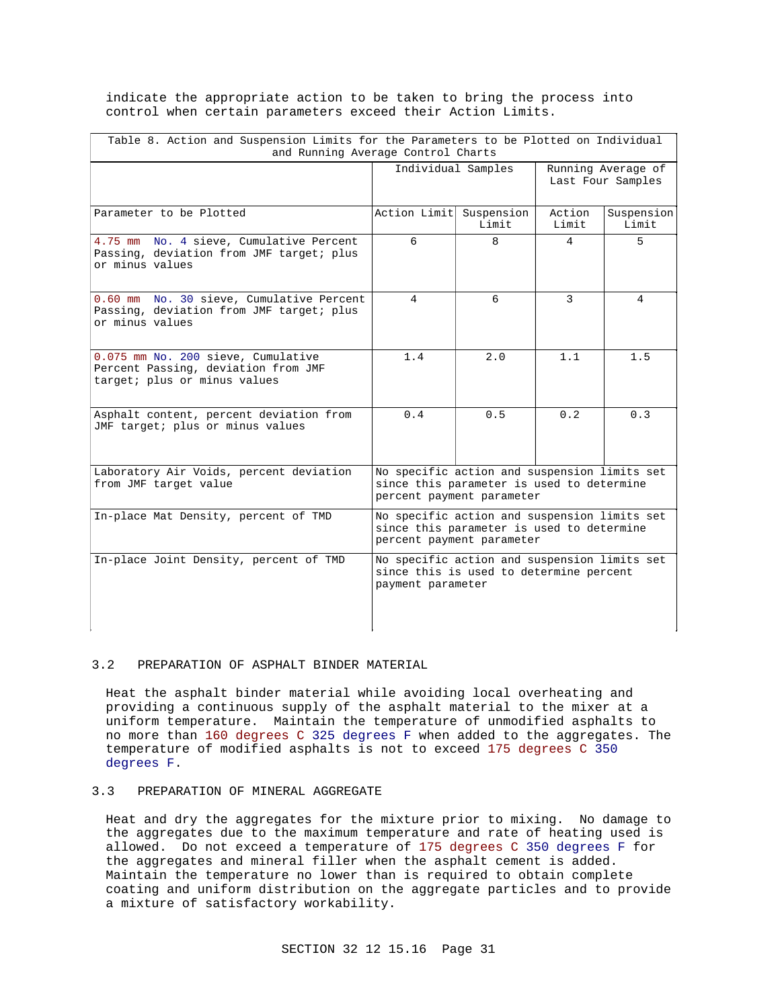indicate the appropriate action to be taken to bring the process into control when certain parameters exceed their Action Limits.

| Table 8. Action and Suspension Limits for the Parameters to be Plotted on Individual<br>and Running Average Control Charts |                                                                                                                        |       |                                         |                     |  |
|----------------------------------------------------------------------------------------------------------------------------|------------------------------------------------------------------------------------------------------------------------|-------|-----------------------------------------|---------------------|--|
|                                                                                                                            | Individual Samples                                                                                                     |       | Running Average of<br>Last Four Samples |                     |  |
| Parameter to be Plotted                                                                                                    | Action Limit Suspension                                                                                                | Limit | Action<br>Limit                         | Suspension<br>Limit |  |
| 4.75 mm No. 4 sieve, Cumulative Percent<br>Passing, deviation from JMF target; plus<br>or minus values                     | 6                                                                                                                      | 8     | 4                                       | 5.                  |  |
| 0.60 mm No. 30 sieve, Cumulative Percent<br>Passing, deviation from JMF target; plus<br>or minus values                    | $\overline{4}$                                                                                                         | б.    | $\mathcal{L}$                           | 4                   |  |
| 0.075 mm No. 200 sieve, Cumulative<br>Percent Passing, deviation from JMF<br>target; plus or minus values                  | 1.4                                                                                                                    | 2.0   | 1.1                                     | 1.5                 |  |
| Asphalt content, percent deviation from<br>JMF target; plus or minus values                                                | 0.4                                                                                                                    | 0.5   | 0.2                                     | 0.3                 |  |
| Laboratory Air Voids, percent deviation<br>from JMF target value                                                           | No specific action and suspension limits set<br>since this parameter is used to determine<br>percent payment parameter |       |                                         |                     |  |
| In-place Mat Density, percent of TMD                                                                                       | No specific action and suspension limits set<br>since this parameter is used to determine<br>percent payment parameter |       |                                         |                     |  |
| In-place Joint Density, percent of TMD                                                                                     | No specific action and suspension limits set<br>since this is used to determine percent<br>payment parameter           |       |                                         |                     |  |

### 3.2 PREPARATION OF ASPHALT BINDER MATERIAL

Heat the asphalt binder material while avoiding local overheating and providing a continuous supply of the asphalt material to the mixer at a uniform temperature. Maintain the temperature of unmodified asphalts to no more than 160 degrees C 325 degrees F when added to the aggregates. The temperature of modified asphalts is not to exceed 175 degrees C 350 degrees F.

# 3.3 PREPARATION OF MINERAL AGGREGATE

Heat and dry the aggregates for the mixture prior to mixing. No damage to the aggregates due to the maximum temperature and rate of heating used is allowed. Do not exceed a temperature of 175 degrees C 350 degrees F for the aggregates and mineral filler when the asphalt cement is added. Maintain the temperature no lower than is required to obtain complete coating and uniform distribution on the aggregate particles and to provide a mixture of satisfactory workability.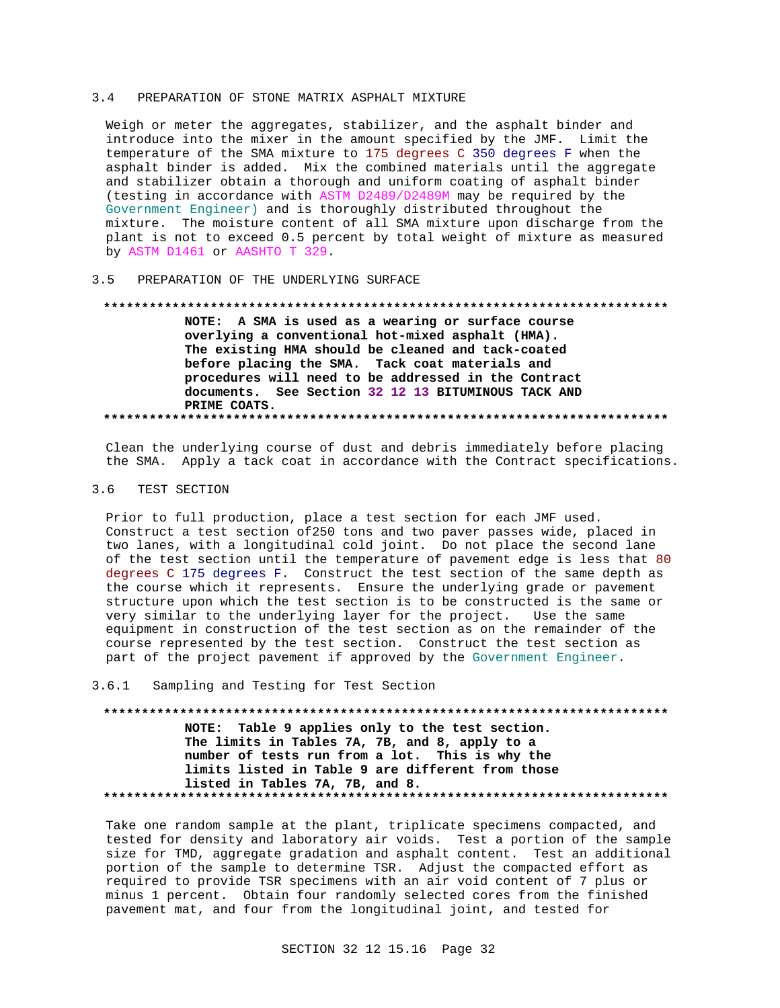### 3.4 PREPARATION OF STONE MATRIX ASPHALT MIXTURE

Weigh or meter the aggregates, stabilizer, and the asphalt binder and introduce into the mixer in the amount specified by the JMF. Limit the temperature of the SMA mixture to 175 degrees C 350 degrees F when the asphalt binder is added. Mix the combined materials until the aggregate and stabilizer obtain a thorough and uniform coating of asphalt binder (testing in accordance with ASTM D2489/D2489M may be required by the Government Engineer) and is thoroughly distributed throughout the mixture. The moisture content of all SMA mixture upon discharge from the plant is not to exceed 0.5 percent by total weight of mixture as measured by ASTM D1461 or AASHTO T 329.

# 3.5 PREPARATION OF THE UNDERLYING SURFACE

### **\*\*\*\*\*\*\*\*\*\*\*\*\*\*\*\*\*\*\*\*\*\*\*\*\*\*\*\*\*\*\*\*\*\*\*\*\*\*\*\*\*\*\*\*\*\*\*\*\*\*\*\*\*\*\*\*\*\*\*\*\*\*\*\*\*\*\*\*\*\*\*\*\*\***

**NOTE: A SMA is used as a wearing or surface course overlying a conventional hot-mixed asphalt (HMA). The existing HMA should be cleaned and tack-coated before placing the SMA. Tack coat materials and procedures will need to be addressed in the Contract documents. See Section 32 12 13 BITUMINOUS TACK AND PRIME COATS. \*\*\*\*\*\*\*\*\*\*\*\*\*\*\*\*\*\*\*\*\*\*\*\*\*\*\*\*\*\*\*\*\*\*\*\*\*\*\*\*\*\*\*\*\*\*\*\*\*\*\*\*\*\*\*\*\*\*\*\*\*\*\*\*\*\*\*\*\*\*\*\*\*\***

Clean the underlying course of dust and debris immediately before placing the SMA. Apply a tack coat in accordance with the Contract specifications.

# 3.6 TEST SECTION

Prior to full production, place a test section for each JMF used. Construct a test section of250 tons and two paver passes wide, placed in two lanes, with a longitudinal cold joint. Do not place the second lane of the test section until the temperature of pavement edge is less that 80 degrees C 175 degrees F. Construct the test section of the same depth as the course which it represents. Ensure the underlying grade or pavement structure upon which the test section is to be constructed is the same or very similar to the underlying layer for the project. Use the same equipment in construction of the test section as on the remainder of the course represented by the test section. Construct the test section as part of the project pavement if approved by the Government Engineer.

3.6.1 Sampling and Testing for Test Section

**\*\*\*\*\*\*\*\*\*\*\*\*\*\*\*\*\*\*\*\*\*\*\*\*\*\*\*\*\*\*\*\*\*\*\*\*\*\*\*\*\*\*\*\*\*\*\*\*\*\*\*\*\*\*\*\*\*\*\*\*\*\*\*\*\*\*\*\*\*\*\*\*\*\* NOTE: Table 9 applies only to the test section. The limits in Tables 7A, 7B, and 8, apply to a number of tests run from a lot. This is why the limits listed in Table 9 are different from those listed in Tables 7A, 7B, and 8. \*\*\*\*\*\*\*\*\*\*\*\*\*\*\*\*\*\*\*\*\*\*\*\*\*\*\*\*\*\*\*\*\*\*\*\*\*\*\*\*\*\*\*\*\*\*\*\*\*\*\*\*\*\*\*\*\*\*\*\*\*\*\*\*\*\*\*\*\*\*\*\*\*\***

Take one random sample at the plant, triplicate specimens compacted, and tested for density and laboratory air voids. Test a portion of the sample size for TMD, aggregate gradation and asphalt content. Test an additional portion of the sample to determine TSR. Adjust the compacted effort as required to provide TSR specimens with an air void content of 7 plus or minus 1 percent. Obtain four randomly selected cores from the finished pavement mat, and four from the longitudinal joint, and tested for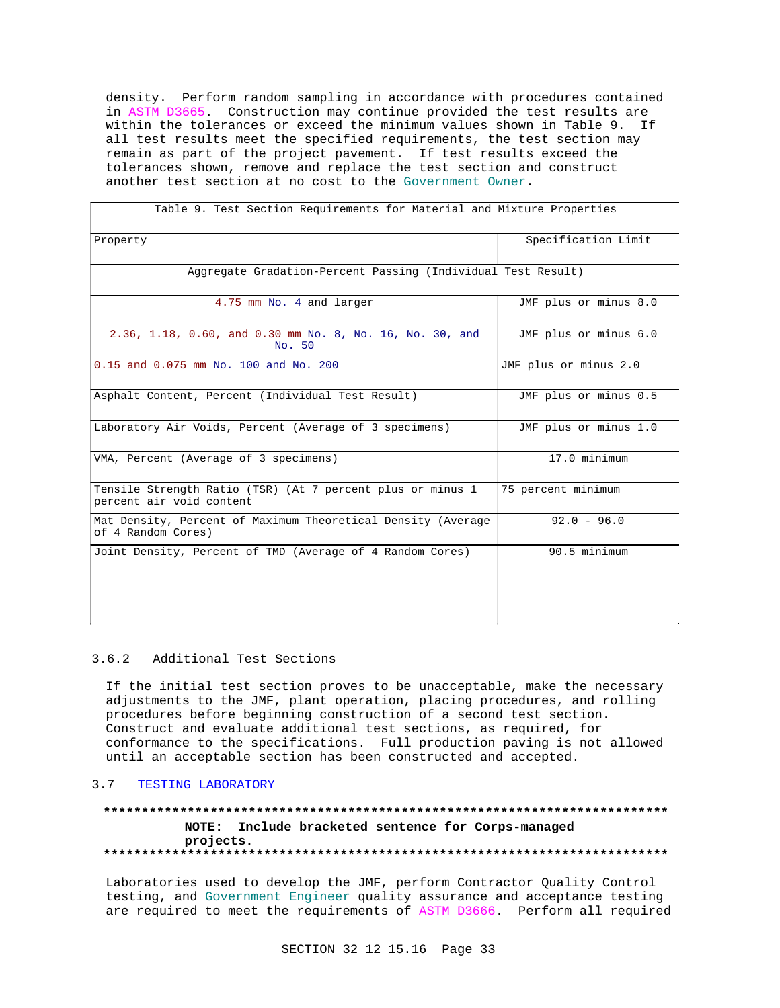density. Perform random sampling in accordance with procedures contained in ASTM D3665. Construction may continue provided the test results are within the tolerances or exceed the minimum values shown in Table 9. If all test results meet the specified requirements, the test section may remain as part of the project pavement. If test results exceed the tolerances shown, remove and replace the test section and construct another test section at no cost to the Government Owner.

| Table 9. Test Section Requirements for Material and Mixture Properties                 |                       |  |  |  |
|----------------------------------------------------------------------------------------|-----------------------|--|--|--|
| Property                                                                               | Specification Limit   |  |  |  |
| Aggregate Gradation-Percent Passing (Individual Test Result)                           |                       |  |  |  |
| 4.75 mm No. 4 and larger                                                               | JMF plus or minus 8.0 |  |  |  |
| 2.36, 1.18, 0.60, and 0.30 mm No. 8, No. 16, No. 30, and<br>No. 50                     | JMF plus or minus 6.0 |  |  |  |
| 0.15 and 0.075 mm No. 100 and No. 200                                                  | JMF plus or minus 2.0 |  |  |  |
| Asphalt Content, Percent (Individual Test Result)                                      | JMF plus or minus 0.5 |  |  |  |
| Laboratory Air Voids, Percent (Average of 3 specimens)                                 | JMF plus or minus 1.0 |  |  |  |
| VMA, Percent (Average of 3 specimens)                                                  | 17.0 minimum          |  |  |  |
| Tensile Strength Ratio (TSR) (At 7 percent plus or minus 1<br>percent air void content | 75 percent minimum    |  |  |  |
| Mat Density, Percent of Maximum Theoretical Density (Average<br>of 4 Random Cores)     | $92.0 - 96.0$         |  |  |  |
| Joint Density, Percent of TMD (Average of 4 Random Cores)                              | 90.5 minimum          |  |  |  |
|                                                                                        |                       |  |  |  |

# 3.6.2 Additional Test Sections

If the initial test section proves to be unacceptable, make the necessary adjustments to the JMF, plant operation, placing procedures, and rolling procedures before beginning construction of a second test section. Construct and evaluate additional test sections, as required, for conformance to the specifications. Full production paving is not allowed until an acceptable section has been constructed and accepted.

# 3.7 TESTING LABORATORY

# **\*\*\*\*\*\*\*\*\*\*\*\*\*\*\*\*\*\*\*\*\*\*\*\*\*\*\*\*\*\*\*\*\*\*\*\*\*\*\*\*\*\*\*\*\*\*\*\*\*\*\*\*\*\*\*\*\*\*\*\*\*\*\*\*\*\*\*\*\*\*\*\*\*\* NOTE: Include bracketed sentence for Corps-managed projects. \*\*\*\*\*\*\*\*\*\*\*\*\*\*\*\*\*\*\*\*\*\*\*\*\*\*\*\*\*\*\*\*\*\*\*\*\*\*\*\*\*\*\*\*\*\*\*\*\*\*\*\*\*\*\*\*\*\*\*\*\*\*\*\*\*\*\*\*\*\*\*\*\*\***

Laboratories used to develop the JMF, perform Contractor Quality Control testing, and Government Engineer quality assurance and acceptance testing are required to meet the requirements of ASTM D3666. Perform all required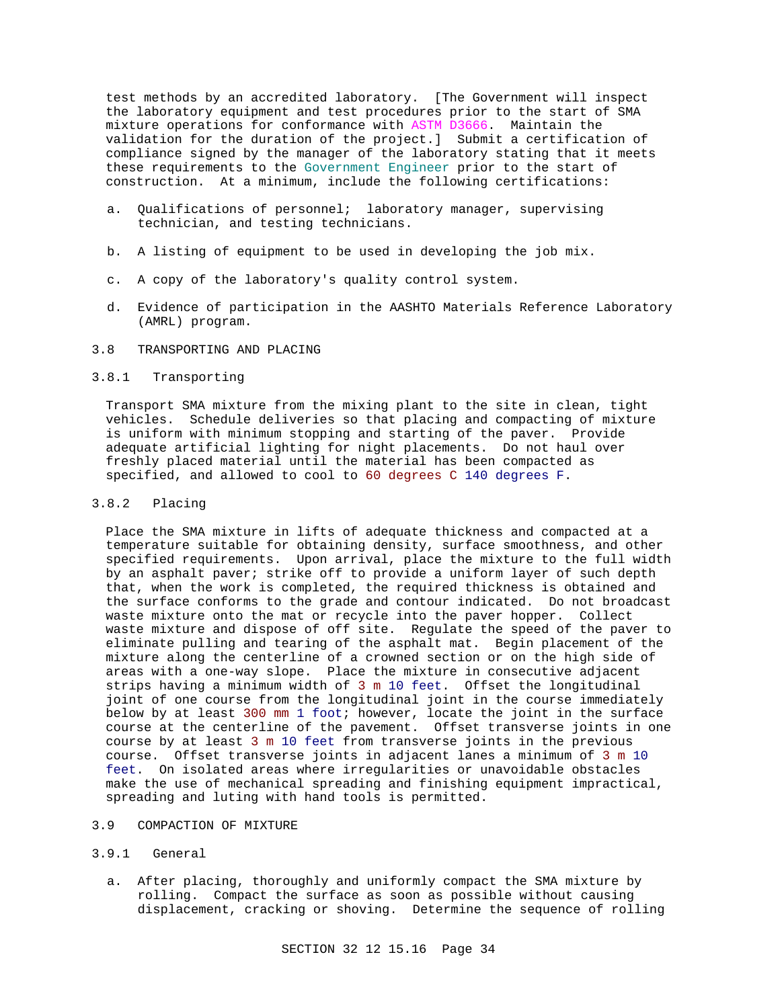test methods by an accredited laboratory. [The Government will inspect the laboratory equipment and test procedures prior to the start of SMA mixture operations for conformance with ASTM D3666. Maintain the validation for the duration of the project.] Submit a certification of compliance signed by the manager of the laboratory stating that it meets these requirements to the Government Engineer prior to the start of construction. At a minimum, include the following certifications:

- a. Qualifications of personnel; laboratory manager, supervising technician, and testing technicians.
- b. A listing of equipment to be used in developing the job mix.
- c. A copy of the laboratory's quality control system.
- d. Evidence of participation in the AASHTO Materials Reference Laboratory (AMRL) program.

# 3.8 TRANSPORTING AND PLACING

# 3.8.1 Transporting

Transport SMA mixture from the mixing plant to the site in clean, tight vehicles. Schedule deliveries so that placing and compacting of mixture is uniform with minimum stopping and starting of the paver. Provide adequate artificial lighting for night placements. Do not haul over freshly placed material until the material has been compacted as specified, and allowed to cool to 60 degrees C 140 degrees F.

# 3.8.2 Placing

Place the SMA mixture in lifts of adequate thickness and compacted at a temperature suitable for obtaining density, surface smoothness, and other specified requirements. Upon arrival, place the mixture to the full width by an asphalt paver; strike off to provide a uniform layer of such depth that, when the work is completed, the required thickness is obtained and the surface conforms to the grade and contour indicated. Do not broadcast waste mixture onto the mat or recycle into the paver hopper. Collect waste mixture and dispose of off site. Regulate the speed of the paver to eliminate pulling and tearing of the asphalt mat. Begin placement of the mixture along the centerline of a crowned section or on the high side of areas with a one-way slope. Place the mixture in consecutive adjacent strips having a minimum width of 3 m 10 feet. Offset the longitudinal joint of one course from the longitudinal joint in the course immediately below by at least 300 mm 1 foot; however, locate the joint in the surface course at the centerline of the pavement. Offset transverse joints in one course by at least 3 m 10 feet from transverse joints in the previous course. Offset transverse joints in adjacent lanes a minimum of 3 m 10 feet. On isolated areas where irregularities or unavoidable obstacles make the use of mechanical spreading and finishing equipment impractical, spreading and luting with hand tools is permitted.

# 3.9 COMPACTION OF MIXTURE

# 3.9.1 General

a. After placing, thoroughly and uniformly compact the SMA mixture by rolling. Compact the surface as soon as possible without causing displacement, cracking or shoving. Determine the sequence of rolling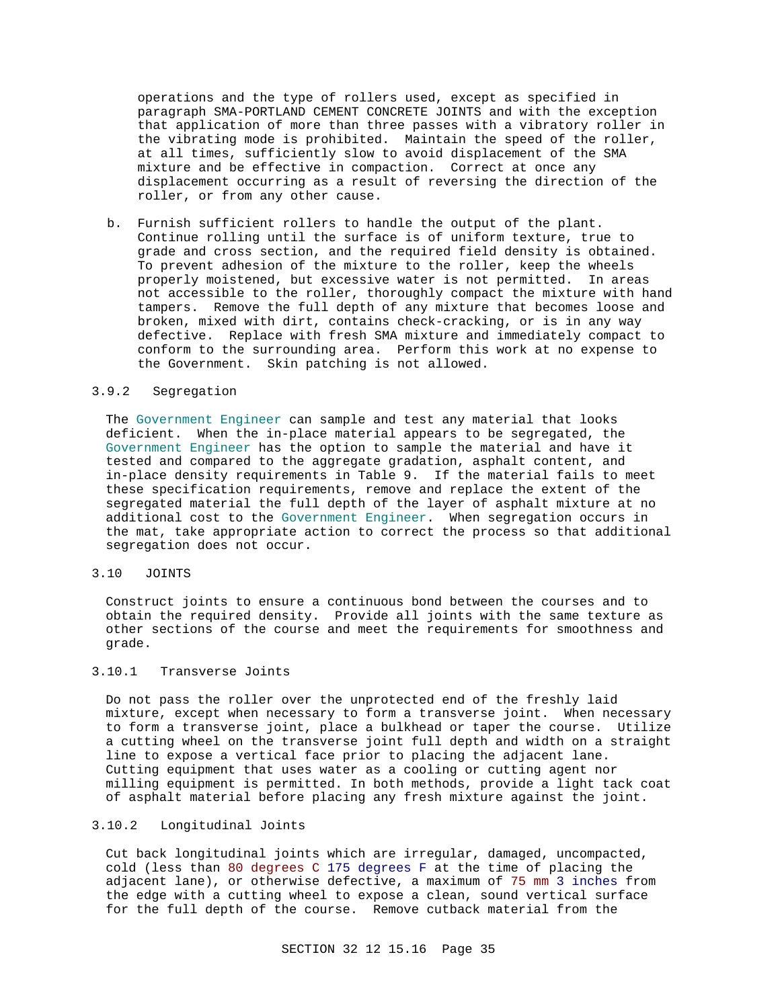operations and the type of rollers used, except as specified in paragraph SMA-PORTLAND CEMENT CONCRETE JOINTS and with the exception that application of more than three passes with a vibratory roller in the vibrating mode is prohibited. Maintain the speed of the roller, at all times, sufficiently slow to avoid displacement of the SMA mixture and be effective in compaction. Correct at once any displacement occurring as a result of reversing the direction of the roller, or from any other cause.

b. Furnish sufficient rollers to handle the output of the plant. Continue rolling until the surface is of uniform texture, true to grade and cross section, and the required field density is obtained. To prevent adhesion of the mixture to the roller, keep the wheels properly moistened, but excessive water is not permitted. In areas not accessible to the roller, thoroughly compact the mixture with hand tampers. Remove the full depth of any mixture that becomes loose and broken, mixed with dirt, contains check-cracking, or is in any way defective. Replace with fresh SMA mixture and immediately compact to conform to the surrounding area. Perform this work at no expense to the Government. Skin patching is not allowed.

# 3.9.2 Segregation

The Government Engineer can sample and test any material that looks deficient. When the in-place material appears to be segregated, the Government Engineer has the option to sample the material and have it tested and compared to the aggregate gradation, asphalt content, and in-place density requirements in Table 9. If the material fails to meet these specification requirements, remove and replace the extent of the segregated material the full depth of the layer of asphalt mixture at no additional cost to the Government Engineer. When segregation occurs in the mat, take appropriate action to correct the process so that additional segregation does not occur.

## 3.10 JOINTS

Construct joints to ensure a continuous bond between the courses and to obtain the required density. Provide all joints with the same texture as other sections of the course and meet the requirements for smoothness and grade.

# 3.10.1 Transverse Joints

Do not pass the roller over the unprotected end of the freshly laid mixture, except when necessary to form a transverse joint. When necessary to form a transverse joint, place a bulkhead or taper the course. Utilize a cutting wheel on the transverse joint full depth and width on a straight line to expose a vertical face prior to placing the adjacent lane. Cutting equipment that uses water as a cooling or cutting agent nor milling equipment is permitted. In both methods, provide a light tack coat of asphalt material before placing any fresh mixture against the joint.

# 3.10.2 Longitudinal Joints

Cut back longitudinal joints which are irregular, damaged, uncompacted, cold (less than 80 degrees C 175 degrees F at the time of placing the adjacent lane), or otherwise defective, a maximum of 75 mm 3 inches from the edge with a cutting wheel to expose a clean, sound vertical surface for the full depth of the course. Remove cutback material from the